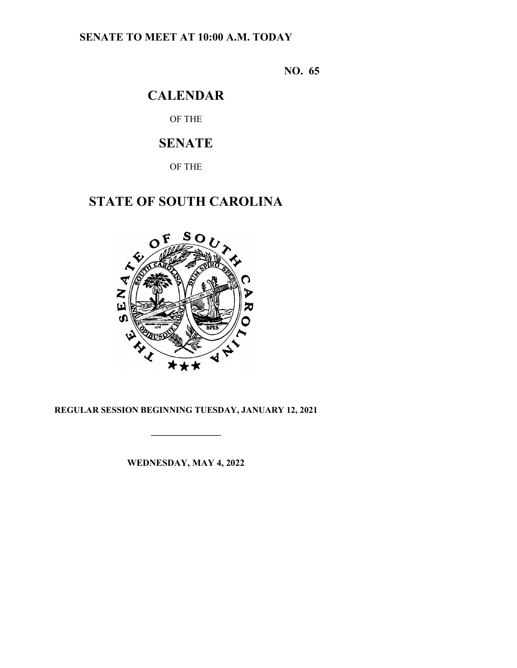# **SENATE TO MEET AT 10:00 A.M. TODAY**

**NO. 65**

# **CALENDAR**

OF THE

# **SENATE**

OF THE

# **STATE OF SOUTH CAROLINA**



# **REGULAR SESSION BEGINNING TUESDAY, JANUARY 12, 2021**

**\_\_\_\_\_\_\_\_\_\_\_\_\_\_\_**

**WEDNESDAY, MAY 4, 2022**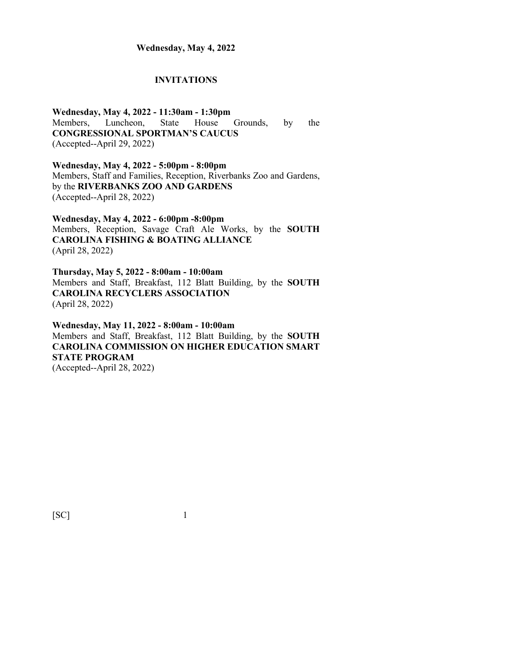#### **INVITATIONS**

**Wednesday, May 4, 2022 - 11:30am - 1:30pm** Members, Luncheon, State House Grounds, by the **CONGRESSIONAL SPORTMAN'S CAUCUS** (Accepted--April 29, 2022)

**Wednesday, May 4, 2022 - 5:00pm - 8:00pm** Members, Staff and Families, Reception, Riverbanks Zoo and Gardens, by the **RIVERBANKS ZOO AND GARDENS** (Accepted--April 28, 2022)

**Wednesday, May 4, 2022 - 6:00pm -8:00pm** Members, Reception, Savage Craft Ale Works, by the **SOUTH CAROLINA FISHING & BOATING ALLIANCE** (April 28, 2022)

**Thursday, May 5, 2022 - 8:00am - 10:00am** Members and Staff, Breakfast, 112 Blatt Building, by the **SOUTH CAROLINA RECYCLERS ASSOCIATION** (April 28, 2022)

**Wednesday, May 11, 2022 - 8:00am - 10:00am** Members and Staff, Breakfast, 112 Blatt Building, by the **SOUTH CAROLINA COMMISSION ON HIGHER EDUCATION SMART STATE PROGRAM** (Accepted--April 28, 2022)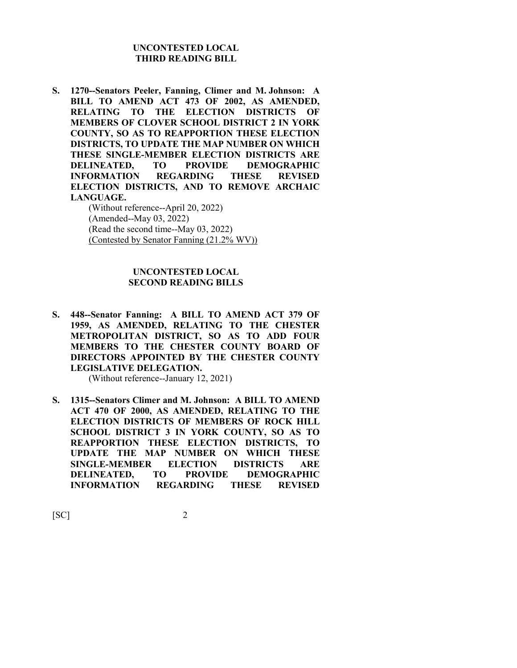#### **UNCONTESTED LOCAL THIRD READING BILL**

**S. 1270--Senators Peeler, Fanning, Climer and M. Johnson: A BILL TO AMEND ACT 473 OF 2002, AS AMENDED, RELATING TO THE ELECTION DISTRICTS OF MEMBERS OF CLOVER SCHOOL DISTRICT 2 IN YORK COUNTY, SO AS TO REAPPORTION THESE ELECTION DISTRICTS, TO UPDATE THE MAP NUMBER ON WHICH THESE SINGLE-MEMBER ELECTION DISTRICTS ARE DELINEATED, TO PROVIDE DEMOGRAPHIC INFORMATION REGARDING THESE REVISED ELECTION DISTRICTS, AND TO REMOVE ARCHAIC LANGUAGE.**

(Without reference--April 20, 2022) (Amended--May 03, 2022) (Read the second time--May 03, 2022) (Contested by Senator Fanning (21.2% WV))

#### **UNCONTESTED LOCAL SECOND READING BILLS**

**S. 448--Senator Fanning: A BILL TO AMEND ACT 379 OF 1959, AS AMENDED, RELATING TO THE CHESTER METROPOLITAN DISTRICT, SO AS TO ADD FOUR MEMBERS TO THE CHESTER COUNTY BOARD OF DIRECTORS APPOINTED BY THE CHESTER COUNTY LEGISLATIVE DELEGATION.**

(Without reference--January 12, 2021)

**S. 1315--Senators Climer and M. Johnson: A BILL TO AMEND ACT 470 OF 2000, AS AMENDED, RELATING TO THE ELECTION DISTRICTS OF MEMBERS OF ROCK HILL SCHOOL DISTRICT 3 IN YORK COUNTY, SO AS TO REAPPORTION THESE ELECTION DISTRICTS, TO UPDATE THE MAP NUMBER ON WHICH THESE SINGLE-MEMBER ELECTION DISTRICTS ARE DELINEATED, TO PROVIDE DEMOGRAPHIC INFORMATION REGARDING THESE REVISED**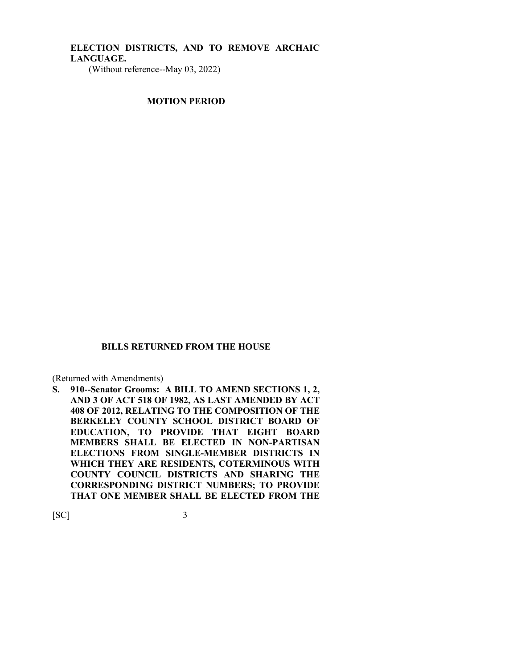# **ELECTION DISTRICTS, AND TO REMOVE ARCHAIC LANGUAGE.**

(Without reference--May 03, 2022)

**MOTION PERIOD**

#### **BILLS RETURNED FROM THE HOUSE**

(Returned with Amendments)

**S. 910--Senator Grooms: A BILL TO AMEND SECTIONS 1, 2, AND 3 OF ACT 518 OF 1982, AS LAST AMENDED BY ACT 408 OF 2012, RELATING TO THE COMPOSITION OF THE BERKELEY COUNTY SCHOOL DISTRICT BOARD OF EDUCATION, TO PROVIDE THAT EIGHT BOARD MEMBERS SHALL BE ELECTED IN NON-PARTISAN ELECTIONS FROM SINGLE-MEMBER DISTRICTS IN WHICH THEY ARE RESIDENTS, COTERMINOUS WITH COUNTY COUNCIL DISTRICTS AND SHARING THE CORRESPONDING DISTRICT NUMBERS; TO PROVIDE THAT ONE MEMBER SHALL BE ELECTED FROM THE**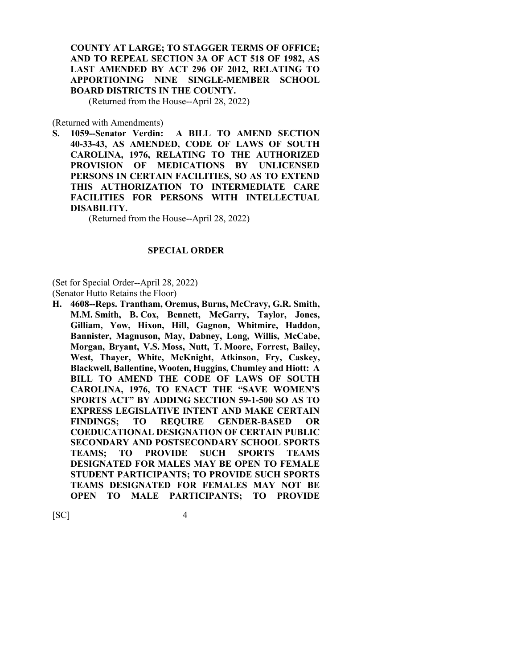# **COUNTY AT LARGE; TO STAGGER TERMS OF OFFICE; AND TO REPEAL SECTION 3A OF ACT 518 OF 1982, AS LAST AMENDED BY ACT 296 OF 2012, RELATING TO APPORTIONING NINE SINGLE-MEMBER SCHOOL BOARD DISTRICTS IN THE COUNTY.**

(Returned from the House--April 28, 2022)

(Returned with Amendments)

**S. 1059--Senator Verdin: A BILL TO AMEND SECTION 40-33-43, AS AMENDED, CODE OF LAWS OF SOUTH CAROLINA, 1976, RELATING TO THE AUTHORIZED PROVISION OF MEDICATIONS BY UNLICENSED PERSONS IN CERTAIN FACILITIES, SO AS TO EXTEND THIS AUTHORIZATION TO INTERMEDIATE CARE FACILITIES FOR PERSONS WITH INTELLECTUAL DISABILITY.**

(Returned from the House--April 28, 2022)

#### **SPECIAL ORDER**

(Set for Special Order--April 28, 2022)

(Senator Hutto Retains the Floor)

**H. 4608--Reps. Trantham, Oremus, Burns, McCravy, G.R. Smith, M.M. Smith, B. Cox, Bennett, McGarry, Taylor, Jones, Gilliam, Yow, Hixon, Hill, Gagnon, Whitmire, Haddon, Bannister, Magnuson, May, Dabney, Long, Willis, McCabe, Morgan, Bryant, V.S. Moss, Nutt, T. Moore, Forrest, Bailey, West, Thayer, White, McKnight, Atkinson, Fry, Caskey, Blackwell, Ballentine, Wooten, Huggins, Chumley and Hiott: A BILL TO AMEND THE CODE OF LAWS OF SOUTH CAROLINA, 1976, TO ENACT THE "SAVE WOMEN'S SPORTS ACT" BY ADDING SECTION 59-1-500 SO AS TO EXPRESS LEGISLATIVE INTENT AND MAKE CERTAIN FINDINGS; TO REQUIRE GENDER-BASED OR COEDUCATIONAL DESIGNATION OF CERTAIN PUBLIC SECONDARY AND POSTSECONDARY SCHOOL SPORTS TEAMS; TO PROVIDE SUCH SPORTS TEAMS DESIGNATED FOR MALES MAY BE OPEN TO FEMALE STUDENT PARTICIPANTS; TO PROVIDE SUCH SPORTS TEAMS DESIGNATED FOR FEMALES MAY NOT BE OPEN TO MALE PARTICIPANTS; TO PROVIDE**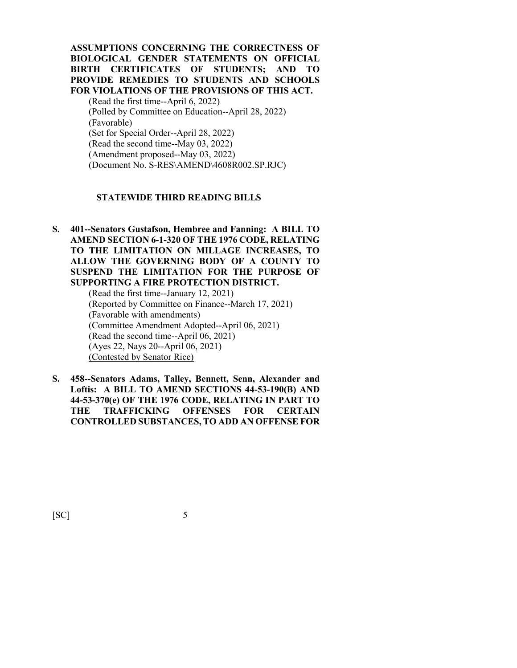**ASSUMPTIONS CONCERNING THE CORRECTNESS OF BIOLOGICAL GENDER STATEMENTS ON OFFICIAL BIRTH CERTIFICATES OF STUDENTS; AND TO PROVIDE REMEDIES TO STUDENTS AND SCHOOLS FOR VIOLATIONS OF THE PROVISIONS OF THIS ACT.**

(Read the first time--April 6, 2022) (Polled by Committee on Education--April 28, 2022) (Favorable) (Set for Special Order--April 28, 2022) (Read the second time--May 03, 2022) (Amendment proposed--May 03, 2022) (Document No. S-RES\AMEND\4608R002.SP.RJC)

#### **STATEWIDE THIRD READING BILLS**

**S. 401--Senators Gustafson, Hembree and Fanning: A BILL TO AMEND SECTION 6-1-320 OF THE 1976 CODE, RELATING TO THE LIMITATION ON MILLAGE INCREASES, TO ALLOW THE GOVERNING BODY OF A COUNTY TO SUSPEND THE LIMITATION FOR THE PURPOSE OF SUPPORTING A FIRE PROTECTION DISTRICT.**

(Read the first time--January 12, 2021) (Reported by Committee on Finance--March 17, 2021) (Favorable with amendments) (Committee Amendment Adopted--April 06, 2021) (Read the second time--April 06, 2021) (Ayes 22, Nays 20--April 06, 2021) (Contested by Senator Rice)

**S. 458--Senators Adams, Talley, Bennett, Senn, Alexander and Loftis: A BILL TO AMEND SECTIONS 44-53-190(B) AND 44-53-370(e) OF THE 1976 CODE, RELATING IN PART TO THE TRAFFICKING OFFENSES FOR CERTAIN CONTROLLED SUBSTANCES, TO ADD AN OFFENSE FOR**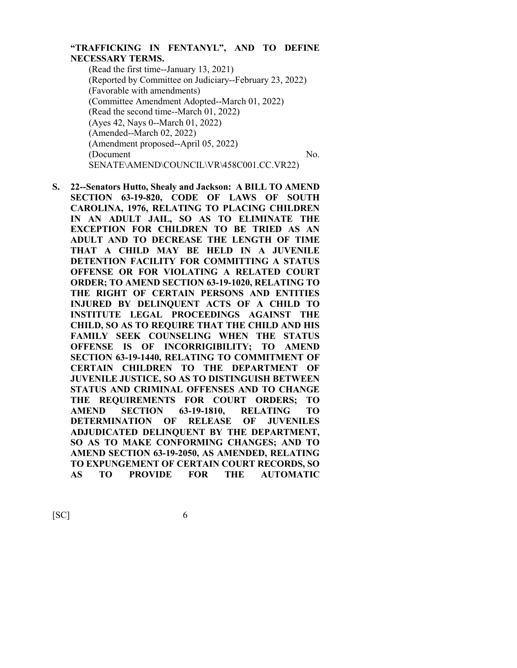# **"TRAFFICKING IN FENTANYL", AND TO DEFINE NECESSARY TERMS.**

(Read the first time--January 13, 2021) (Reported by Committee on Judiciary--February 23, 2022) (Favorable with amendments) (Committee Amendment Adopted--March 01, 2022) (Read the second time--March 01, 2022) (Ayes 42, Nays 0--March 01, 2022) (Amended--March 02, 2022) (Amendment proposed--April 05, 2022) (Document No.) SENATE\AMEND\COUNCIL\VR\458C001.CC.VR22)

**S. 22--Senators Hutto, Shealy and Jackson: A BILL TO AMEND SECTION 63-19-820, CODE OF LAWS OF SOUTH CAROLINA, 1976, RELATING TO PLACING CHILDREN IN AN ADULT JAIL, SO AS TO ELIMINATE THE EXCEPTION FOR CHILDREN TO BE TRIED AS AN ADULT AND TO DECREASE THE LENGTH OF TIME THAT A CHILD MAY BE HELD IN A JUVENILE DETENTION FACILITY FOR COMMITTING A STATUS OFFENSE OR FOR VIOLATING A RELATED COURT ORDER; TO AMEND SECTION 63-19-1020, RELATING TO THE RIGHT OF CERTAIN PERSONS AND ENTITIES INJURED BY DELINQUENT ACTS OF A CHILD TO INSTITUTE LEGAL PROCEEDINGS AGAINST THE CHILD, SO AS TO REQUIRE THAT THE CHILD AND HIS FAMILY SEEK COUNSELING WHEN THE STATUS OFFENSE IS OF INCORRIGIBILITY; TO AMEND SECTION 63-19-1440, RELATING TO COMMITMENT OF CERTAIN CHILDREN TO THE DEPARTMENT OF JUVENILE JUSTICE, SO AS TO DISTINGUISH BETWEEN STATUS AND CRIMINAL OFFENSES AND TO CHANGE THE REQUIREMENTS FOR COURT ORDERS; TO AMEND SECTION 63-19-1810, RELATING TO DETERMINATION OF RELEASE OF JUVENILES ADJUDICATED DELINQUENT BY THE DEPARTMENT, SO AS TO MAKE CONFORMING CHANGES; AND TO AMEND SECTION 63-19-2050, AS AMENDED, RELATING TO EXPUNGEMENT OF CERTAIN COURT RECORDS, SO AS TO PROVIDE FOR THE AUTOMATIC**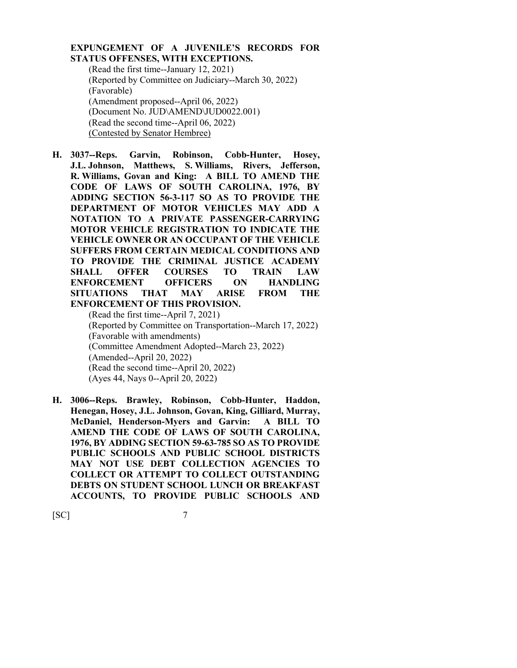#### **EXPUNGEMENT OF A JUVENILE'S RECORDS FOR STATUS OFFENSES, WITH EXCEPTIONS.**

(Read the first time--January 12, 2021) (Reported by Committee on Judiciary--March 30, 2022) (Favorable) (Amendment proposed--April 06, 2022) (Document No. JUD\AMEND\JUD0022.001) (Read the second time--April 06, 2022) (Contested by Senator Hembree)

**H. 3037--Reps. Garvin, Robinson, Cobb-Hunter, Hosey, J.L. Johnson, Matthews, S. Williams, Rivers, Jefferson, R. Williams, Govan and King: A BILL TO AMEND THE CODE OF LAWS OF SOUTH CAROLINA, 1976, BY ADDING SECTION 56-3-117 SO AS TO PROVIDE THE DEPARTMENT OF MOTOR VEHICLES MAY ADD A NOTATION TO A PRIVATE PASSENGER-CARRYING MOTOR VEHICLE REGISTRATION TO INDICATE THE VEHICLE OWNER OR AN OCCUPANT OF THE VEHICLE SUFFERS FROM CERTAIN MEDICAL CONDITIONS AND TO PROVIDE THE CRIMINAL JUSTICE ACADEMY SHALL OFFER COURSES TO TRAIN LAW ENFORCEMENT OFFICERS ON HANDLING SITUATIONS THAT MAY ARISE FROM THE ENFORCEMENT OF THIS PROVISION.** (Read the first time--April 7, 2021)

(Reported by Committee on Transportation--March 17, 2022) (Favorable with amendments) (Committee Amendment Adopted--March 23, 2022) (Amended--April 20, 2022) (Read the second time--April 20, 2022) (Ayes 44, Nays 0--April 20, 2022)

**H. 3006--Reps. Brawley, Robinson, Cobb-Hunter, Haddon, Henegan, Hosey, J.L. Johnson, Govan, King, Gilliard, Murray, McDaniel, Henderson-Myers and Garvin: A BILL TO AMEND THE CODE OF LAWS OF SOUTH CAROLINA, 1976, BY ADDING SECTION 59-63-785 SO AS TO PROVIDE PUBLIC SCHOOLS AND PUBLIC SCHOOL DISTRICTS MAY NOT USE DEBT COLLECTION AGENCIES TO COLLECT OR ATTEMPT TO COLLECT OUTSTANDING DEBTS ON STUDENT SCHOOL LUNCH OR BREAKFAST ACCOUNTS, TO PROVIDE PUBLIC SCHOOLS AND**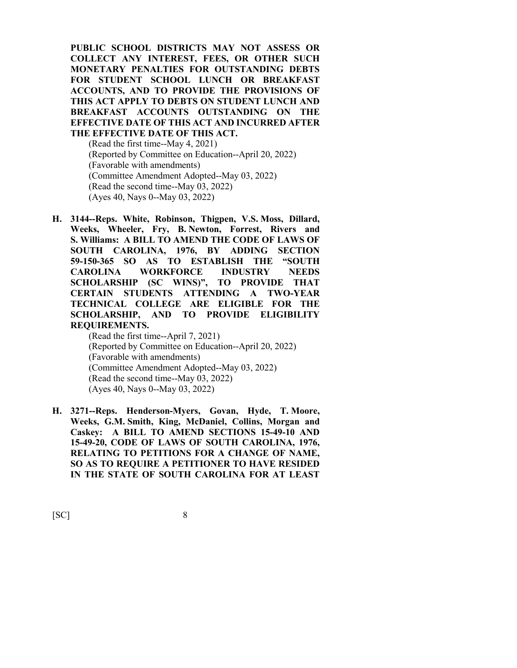**PUBLIC SCHOOL DISTRICTS MAY NOT ASSESS OR COLLECT ANY INTEREST, FEES, OR OTHER SUCH MONETARY PENALTIES FOR OUTSTANDING DEBTS FOR STUDENT SCHOOL LUNCH OR BREAKFAST ACCOUNTS, AND TO PROVIDE THE PROVISIONS OF THIS ACT APPLY TO DEBTS ON STUDENT LUNCH AND BREAKFAST ACCOUNTS OUTSTANDING ON THE EFFECTIVE DATE OF THIS ACT AND INCURRED AFTER THE EFFECTIVE DATE OF THIS ACT.**

(Read the first time--May 4, 2021) (Reported by Committee on Education--April 20, 2022) (Favorable with amendments) (Committee Amendment Adopted--May 03, 2022) (Read the second time--May 03, 2022) (Ayes 40, Nays 0--May 03, 2022)

**H. 3144--Reps. White, Robinson, Thigpen, V.S. Moss, Dillard, Weeks, Wheeler, Fry, B. Newton, Forrest, Rivers and S. Williams: A BILL TO AMEND THE CODE OF LAWS OF SOUTH CAROLINA, 1976, BY ADDING SECTION 59-150-365 SO AS TO ESTABLISH THE "SOUTH CAROLINA WORKFORCE INDUSTRY NEEDS SCHOLARSHIP (SC WINS)", TO PROVIDE THAT CERTAIN STUDENTS ATTENDING A TWO-YEAR TECHNICAL COLLEGE ARE ELIGIBLE FOR THE SCHOLARSHIP, AND TO PROVIDE ELIGIBILITY REQUIREMENTS.**

> (Read the first time--April 7, 2021) (Reported by Committee on Education--April 20, 2022) (Favorable with amendments) (Committee Amendment Adopted--May 03, 2022) (Read the second time--May 03, 2022) (Ayes 40, Nays 0--May 03, 2022)

**H. 3271--Reps. Henderson-Myers, Govan, Hyde, T. Moore, Weeks, G.M. Smith, King, McDaniel, Collins, Morgan and Caskey: A BILL TO AMEND SECTIONS 15-49-10 AND 15-49-20, CODE OF LAWS OF SOUTH CAROLINA, 1976, RELATING TO PETITIONS FOR A CHANGE OF NAME, SO AS TO REQUIRE A PETITIONER TO HAVE RESIDED IN THE STATE OF SOUTH CAROLINA FOR AT LEAST**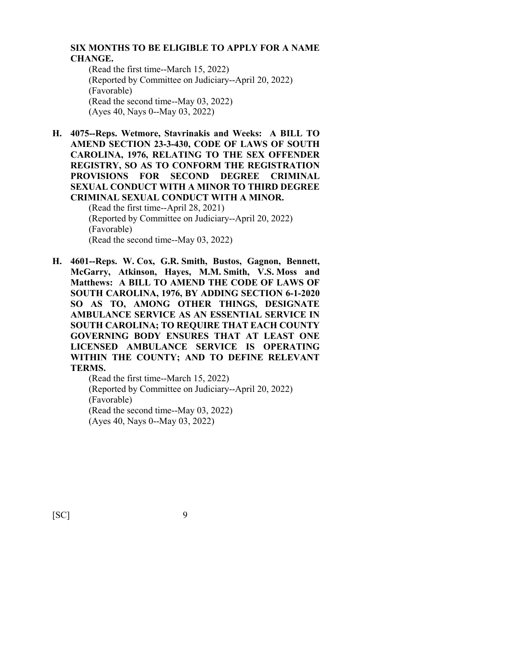## **SIX MONTHS TO BE ELIGIBLE TO APPLY FOR A NAME CHANGE.**

(Read the first time--March 15, 2022) (Reported by Committee on Judiciary--April 20, 2022) (Favorable) (Read the second time--May 03, 2022) (Ayes 40, Nays 0--May 03, 2022)

**H. 4075--Reps. Wetmore, Stavrinakis and Weeks: A BILL TO AMEND SECTION 23-3-430, CODE OF LAWS OF SOUTH CAROLINA, 1976, RELATING TO THE SEX OFFENDER REGISTRY, SO AS TO CONFORM THE REGISTRATION PROVISIONS FOR SECOND DEGREE CRIMINAL SEXUAL CONDUCT WITH A MINOR TO THIRD DEGREE CRIMINAL SEXUAL CONDUCT WITH A MINOR.**

(Read the first time--April 28, 2021) (Reported by Committee on Judiciary--April 20, 2022) (Favorable) (Read the second time--May 03, 2022)

**H. 4601--Reps. W. Cox, G.R. Smith, Bustos, Gagnon, Bennett, McGarry, Atkinson, Hayes, M.M. Smith, V.S. Moss and Matthews: A BILL TO AMEND THE CODE OF LAWS OF SOUTH CAROLINA, 1976, BY ADDING SECTION 6-1-2020 SO AS TO, AMONG OTHER THINGS, DESIGNATE AMBULANCE SERVICE AS AN ESSENTIAL SERVICE IN SOUTH CAROLINA; TO REQUIRE THAT EACH COUNTY GOVERNING BODY ENSURES THAT AT LEAST ONE LICENSED AMBULANCE SERVICE IS OPERATING WITHIN THE COUNTY; AND TO DEFINE RELEVANT TERMS.**

> (Read the first time--March 15, 2022) (Reported by Committee on Judiciary--April 20, 2022) (Favorable) (Read the second time--May 03, 2022) (Ayes 40, Nays 0--May 03, 2022)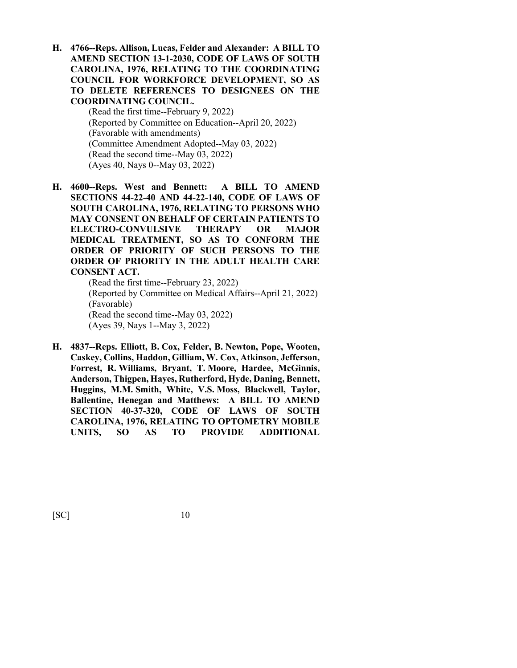**H. 4766--Reps. Allison, Lucas, Felder and Alexander: A BILL TO AMEND SECTION 13-1-2030, CODE OF LAWS OF SOUTH CAROLINA, 1976, RELATING TO THE COORDINATING COUNCIL FOR WORKFORCE DEVELOPMENT, SO AS TO DELETE REFERENCES TO DESIGNEES ON THE COORDINATING COUNCIL.**

> (Read the first time--February 9, 2022) (Reported by Committee on Education--April 20, 2022) (Favorable with amendments) (Committee Amendment Adopted--May 03, 2022) (Read the second time--May 03, 2022) (Ayes 40, Nays 0--May 03, 2022)

**H. 4600--Reps. West and Bennett: A BILL TO AMEND SECTIONS 44-22-40 AND 44-22-140, CODE OF LAWS OF SOUTH CAROLINA, 1976, RELATING TO PERSONS WHO MAY CONSENT ON BEHALF OF CERTAIN PATIENTS TO ELECTRO-CONVULSIVE THERAPY OR MAJOR MEDICAL TREATMENT, SO AS TO CONFORM THE ORDER OF PRIORITY OF SUCH PERSONS TO THE ORDER OF PRIORITY IN THE ADULT HEALTH CARE CONSENT ACT.**

(Read the first time--February 23, 2022) (Reported by Committee on Medical Affairs--April 21, 2022) (Favorable) (Read the second time--May 03, 2022) (Ayes 39, Nays 1--May 3, 2022)

**H. 4837--Reps. Elliott, B. Cox, Felder, B. Newton, Pope, Wooten, Caskey, Collins, Haddon, Gilliam, W. Cox, Atkinson, Jefferson, Forrest, R. Williams, Bryant, T. Moore, Hardee, McGinnis, Anderson, Thigpen, Hayes, Rutherford, Hyde, Daning, Bennett, Huggins, M.M. Smith, White, V.S. Moss, Blackwell, Taylor, Ballentine, Henegan and Matthews: A BILL TO AMEND SECTION 40-37-320, CODE OF LAWS OF SOUTH CAROLINA, 1976, RELATING TO OPTOMETRY MOBILE UNITS, SO AS TO PROVIDE ADDITIONAL**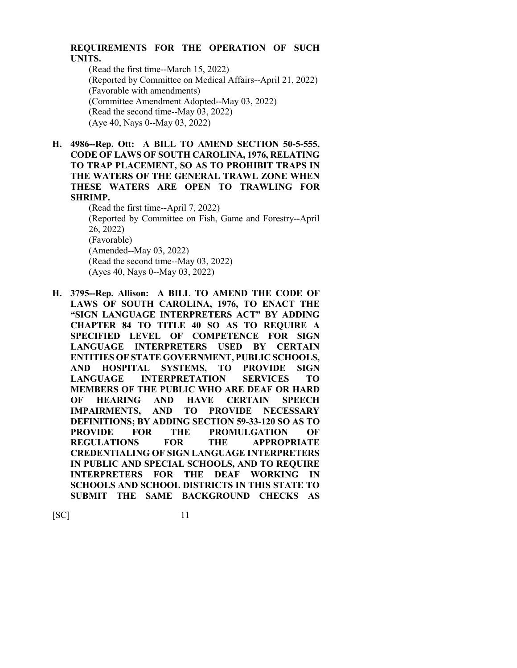## **REQUIREMENTS FOR THE OPERATION OF SUCH UNITS.**

(Read the first time--March 15, 2022) (Reported by Committee on Medical Affairs--April 21, 2022) (Favorable with amendments) (Committee Amendment Adopted--May 03, 2022) (Read the second time--May 03, 2022) (Aye 40, Nays 0--May 03, 2022)

# **H. 4986--Rep. Ott: A BILL TO AMEND SECTION 50-5-555, CODE OF LAWS OF SOUTH CAROLINA, 1976, RELATING TO TRAP PLACEMENT, SO AS TO PROHIBIT TRAPS IN THE WATERS OF THE GENERAL TRAWL ZONE WHEN THESE WATERS ARE OPEN TO TRAWLING FOR SHRIMP.**

(Read the first time--April 7, 2022) (Reported by Committee on Fish, Game and Forestry--April 26, 2022) (Favorable) (Amended--May 03, 2022) (Read the second time--May 03, 2022) (Ayes 40, Nays 0--May 03, 2022)

**H. 3795--Rep. Allison: A BILL TO AMEND THE CODE OF LAWS OF SOUTH CAROLINA, 1976, TO ENACT THE "SIGN LANGUAGE INTERPRETERS ACT" BY ADDING CHAPTER 84 TO TITLE 40 SO AS TO REQUIRE A SPECIFIED LEVEL OF COMPETENCE FOR SIGN LANGUAGE INTERPRETERS USED BY CERTAIN ENTITIES OF STATE GOVERNMENT, PUBLIC SCHOOLS, AND HOSPITAL SYSTEMS, TO PROVIDE SIGN LANGUAGE INTERPRETATION SERVICES TO MEMBERS OF THE PUBLIC WHO ARE DEAF OR HARD OF HEARING AND HAVE CERTAIN SPEECH IMPAIRMENTS, AND TO PROVIDE NECESSARY DEFINITIONS; BY ADDING SECTION 59-33-120 SO AS TO PROVIDE FOR THE PROMULGATION OF REGULATIONS FOR THE APPROPRIATE CREDENTIALING OF SIGN LANGUAGE INTERPRETERS IN PUBLIC AND SPECIAL SCHOOLS, AND TO REQUIRE INTERPRETERS FOR THE DEAF WORKING IN SCHOOLS AND SCHOOL DISTRICTS IN THIS STATE TO SUBMIT THE SAME BACKGROUND CHECKS AS**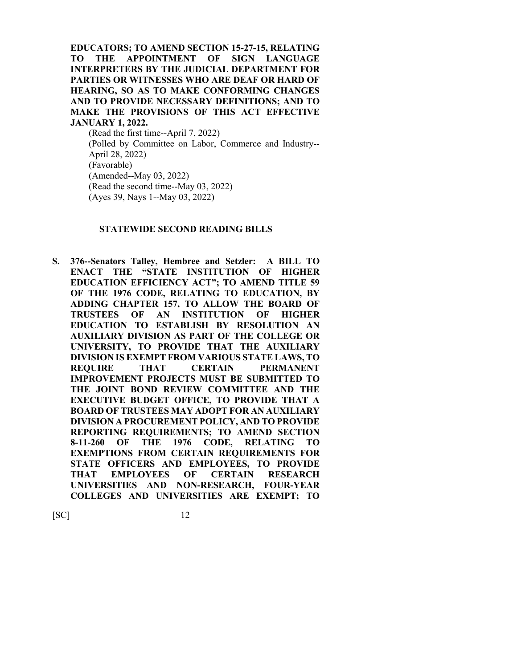**EDUCATORS; TO AMEND SECTION 15-27-15, RELATING TO THE APPOINTMENT OF SIGN LANGUAGE INTERPRETERS BY THE JUDICIAL DEPARTMENT FOR PARTIES OR WITNESSES WHO ARE DEAF OR HARD OF HEARING, SO AS TO MAKE CONFORMING CHANGES AND TO PROVIDE NECESSARY DEFINITIONS; AND TO MAKE THE PROVISIONS OF THIS ACT EFFECTIVE JANUARY 1, 2022.**

(Read the first time--April 7, 2022) (Polled by Committee on Labor, Commerce and Industry-- April 28, 2022) (Favorable) (Amended--May 03, 2022) (Read the second time--May 03, 2022) (Ayes 39, Nays 1--May 03, 2022)

#### **STATEWIDE SECOND READING BILLS**

**S. 376--Senators Talley, Hembree and Setzler: A BILL TO ENACT THE "STATE INSTITUTION OF HIGHER EDUCATION EFFICIENCY ACT"; TO AMEND TITLE 59 OF THE 1976 CODE, RELATING TO EDUCATION, BY ADDING CHAPTER 157, TO ALLOW THE BOARD OF TRUSTEES OF AN INSTITUTION OF HIGHER EDUCATION TO ESTABLISH BY RESOLUTION AN AUXILIARY DIVISION AS PART OF THE COLLEGE OR UNIVERSITY, TO PROVIDE THAT THE AUXILIARY DIVISION IS EXEMPT FROM VARIOUS STATE LAWS, TO REQUIRE THAT CERTAIN PERMANENT IMPROVEMENT PROJECTS MUST BE SUBMITTED TO THE JOINT BOND REVIEW COMMITTEE AND THE EXECUTIVE BUDGET OFFICE, TO PROVIDE THAT A BOARD OF TRUSTEES MAY ADOPT FOR AN AUXILIARY DIVISION A PROCUREMENT POLICY, AND TO PROVIDE REPORTING REQUIREMENTS; TO AMEND SECTION 8-11-260 OF THE 1976 CODE, RELATING TO EXEMPTIONS FROM CERTAIN REQUIREMENTS FOR STATE OFFICERS AND EMPLOYEES, TO PROVIDE THAT EMPLOYEES OF CERTAIN RESEARCH UNIVERSITIES AND NON-RESEARCH, FOUR-YEAR COLLEGES AND UNIVERSITIES ARE EXEMPT; TO**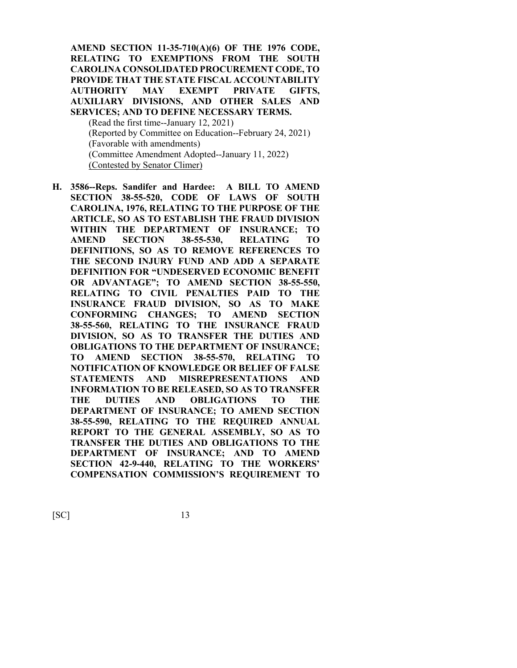**AMEND SECTION 11-35-710(A)(6) OF THE 1976 CODE, RELATING TO EXEMPTIONS FROM THE SOUTH CAROLINA CONSOLIDATED PROCUREMENT CODE, TO PROVIDE THAT THE STATE FISCAL ACCOUNTABILITY AUTHORITY MAY EXEMPT PRIVATE GIFTS, AUXILIARY DIVISIONS, AND OTHER SALES AND SERVICES; AND TO DEFINE NECESSARY TERMS.**

(Read the first time--January 12, 2021) (Reported by Committee on Education--February 24, 2021) (Favorable with amendments) (Committee Amendment Adopted--January 11, 2022) (Contested by Senator Climer)

**H. 3586--Reps. Sandifer and Hardee: A BILL TO AMEND SECTION 38-55-520, CODE OF LAWS OF SOUTH CAROLINA, 1976, RELATING TO THE PURPOSE OF THE ARTICLE, SO AS TO ESTABLISH THE FRAUD DIVISION WITHIN THE DEPARTMENT OF INSURANCE; TO AMEND SECTION 38-55-530, RELATING TO DEFINITIONS, SO AS TO REMOVE REFERENCES TO THE SECOND INJURY FUND AND ADD A SEPARATE DEFINITION FOR "UNDESERVED ECONOMIC BENEFIT OR ADVANTAGE"; TO AMEND SECTION 38-55-550, RELATING TO CIVIL PENALTIES PAID TO THE INSURANCE FRAUD DIVISION, SO AS TO MAKE CONFORMING CHANGES; TO AMEND SECTION 38-55-560, RELATING TO THE INSURANCE FRAUD DIVISION, SO AS TO TRANSFER THE DUTIES AND OBLIGATIONS TO THE DEPARTMENT OF INSURANCE; TO AMEND SECTION 38-55-570, RELATING TO NOTIFICATION OF KNOWLEDGE OR BELIEF OF FALSE STATEMENTS AND MISREPRESENTATIONS AND INFORMATION TO BE RELEASED, SO AS TO TRANSFER THE DUTIES AND OBLIGATIONS TO THE DEPARTMENT OF INSURANCE; TO AMEND SECTION 38-55-590, RELATING TO THE REQUIRED ANNUAL REPORT TO THE GENERAL ASSEMBLY, SO AS TO TRANSFER THE DUTIES AND OBLIGATIONS TO THE DEPARTMENT OF INSURANCE; AND TO AMEND SECTION 42-9-440, RELATING TO THE WORKERS' COMPENSATION COMMISSION'S REQUIREMENT TO**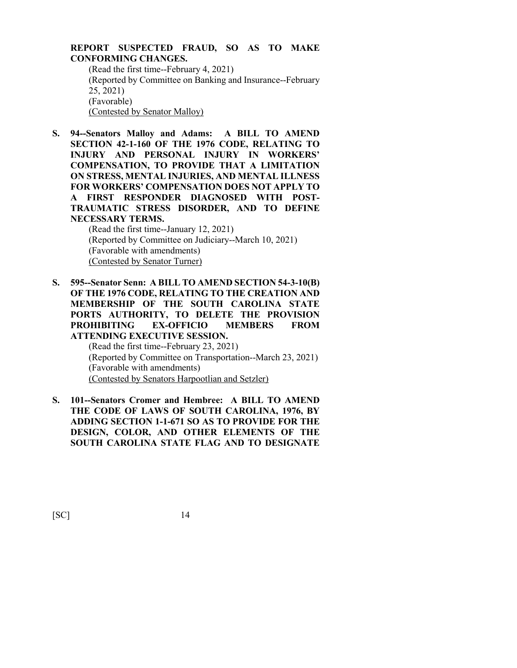### **REPORT SUSPECTED FRAUD, SO AS TO MAKE CONFORMING CHANGES.** (Read the first time--February 4, 2021) (Reported by Committee on Banking and Insurance--February 25, 2021)

(Favorable)

(Contested by Senator Malloy)

**S. 94--Senators Malloy and Adams: A BILL TO AMEND SECTION 42-1-160 OF THE 1976 CODE, RELATING TO INJURY AND PERSONAL INJURY IN WORKERS' COMPENSATION, TO PROVIDE THAT A LIMITATION ON STRESS, MENTAL INJURIES, AND MENTAL ILLNESS FOR WORKERS' COMPENSATION DOES NOT APPLY TO A FIRST RESPONDER DIAGNOSED WITH POST-TRAUMATIC STRESS DISORDER, AND TO DEFINE NECESSARY TERMS.**

(Read the first time--January 12, 2021) (Reported by Committee on Judiciary--March 10, 2021) (Favorable with amendments) (Contested by Senator Turner)

**S. 595--Senator Senn: A BILL TO AMEND SECTION 54-3-10(B) OF THE 1976 CODE, RELATING TO THE CREATION AND MEMBERSHIP OF THE SOUTH CAROLINA STATE PORTS AUTHORITY, TO DELETE THE PROVISION PROHIBITING EX-OFFICIO MEMBERS FROM ATTENDING EXECUTIVE SESSION.**

> (Read the first time--February 23, 2021) (Reported by Committee on Transportation--March 23, 2021) (Favorable with amendments) (Contested by Senators Harpootlian and Setzler)

**S. 101--Senators Cromer and Hembree: A BILL TO AMEND THE CODE OF LAWS OF SOUTH CAROLINA, 1976, BY ADDING SECTION 1-1-671 SO AS TO PROVIDE FOR THE DESIGN, COLOR, AND OTHER ELEMENTS OF THE SOUTH CAROLINA STATE FLAG AND TO DESIGNATE**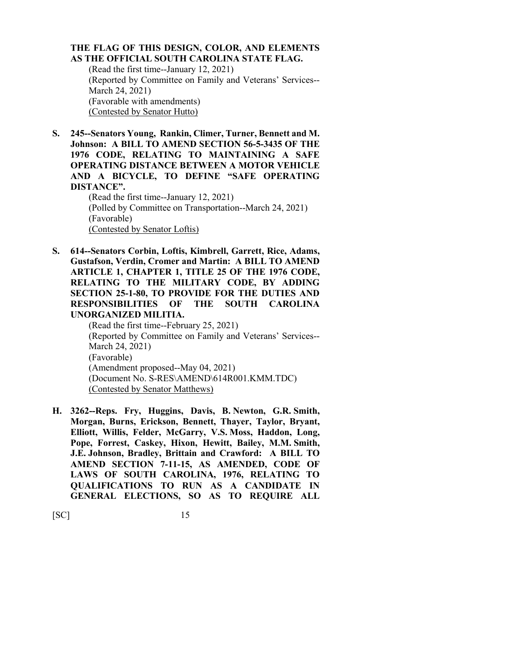### **THE FLAG OF THIS DESIGN, COLOR, AND ELEMENTS AS THE OFFICIAL SOUTH CAROLINA STATE FLAG.**

(Read the first time--January 12, 2021) (Reported by Committee on Family and Veterans' Services-- March 24, 2021) (Favorable with amendments) (Contested by Senator Hutto)

**S. 245--Senators Young, Rankin, Climer, Turner, Bennett and M. Johnson: A BILL TO AMEND SECTION 56-5-3435 OF THE 1976 CODE, RELATING TO MAINTAINING A SAFE OPERATING DISTANCE BETWEEN A MOTOR VEHICLE AND A BICYCLE, TO DEFINE "SAFE OPERATING DISTANCE".**

(Read the first time--January 12, 2021) (Polled by Committee on Transportation--March 24, 2021) (Favorable) (Contested by Senator Loftis)

**S. 614--Senators Corbin, Loftis, Kimbrell, Garrett, Rice, Adams, Gustafson, Verdin, Cromer and Martin: A BILL TO AMEND ARTICLE 1, CHAPTER 1, TITLE 25 OF THE 1976 CODE, RELATING TO THE MILITARY CODE, BY ADDING SECTION 25-1-80, TO PROVIDE FOR THE DUTIES AND RESPONSIBILITIES OF THE SOUTH CAROLINA UNORGANIZED MILITIA.**

(Read the first time--February 25, 2021) (Reported by Committee on Family and Veterans' Services-- March 24, 2021) (Favorable) (Amendment proposed--May 04, 2021) (Document No. S-RES\AMEND\614R001.KMM.TDC) (Contested by Senator Matthews)

**H. 3262--Reps. Fry, Huggins, Davis, B. Newton, G.R. Smith, Morgan, Burns, Erickson, Bennett, Thayer, Taylor, Bryant, Elliott, Willis, Felder, McGarry, V.S. Moss, Haddon, Long, Pope, Forrest, Caskey, Hixon, Hewitt, Bailey, M.M. Smith, J.E. Johnson, Bradley, Brittain and Crawford: A BILL TO AMEND SECTION 7-11-15, AS AMENDED, CODE OF LAWS OF SOUTH CAROLINA, 1976, RELATING TO QUALIFICATIONS TO RUN AS A CANDIDATE IN GENERAL ELECTIONS, SO AS TO REQUIRE ALL**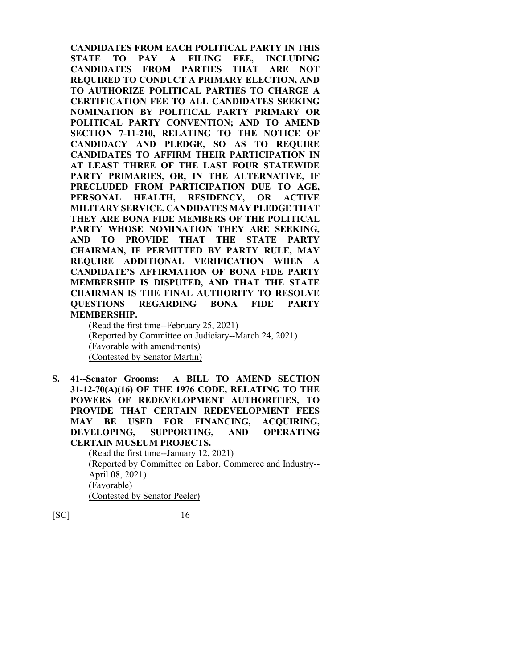**CANDIDATES FROM EACH POLITICAL PARTY IN THIS STATE TO PAY A FILING FEE, INCLUDING CANDIDATES FROM PARTIES THAT ARE NOT REQUIRED TO CONDUCT A PRIMARY ELECTION, AND TO AUTHORIZE POLITICAL PARTIES TO CHARGE A CERTIFICATION FEE TO ALL CANDIDATES SEEKING NOMINATION BY POLITICAL PARTY PRIMARY OR POLITICAL PARTY CONVENTION; AND TO AMEND SECTION 7-11-210, RELATING TO THE NOTICE OF CANDIDACY AND PLEDGE, SO AS TO REQUIRE CANDIDATES TO AFFIRM THEIR PARTICIPATION IN AT LEAST THREE OF THE LAST FOUR STATEWIDE PARTY PRIMARIES, OR, IN THE ALTERNATIVE, IF PRECLUDED FROM PARTICIPATION DUE TO AGE, PERSONAL HEALTH, RESIDENCY, OR ACTIVE MILITARY SERVICE, CANDIDATES MAY PLEDGE THAT THEY ARE BONA FIDE MEMBERS OF THE POLITICAL PARTY WHOSE NOMINATION THEY ARE SEEKING, AND TO PROVIDE THAT THE STATE PARTY CHAIRMAN, IF PERMITTED BY PARTY RULE, MAY REQUIRE ADDITIONAL VERIFICATION WHEN A CANDIDATE'S AFFIRMATION OF BONA FIDE PARTY MEMBERSHIP IS DISPUTED, AND THAT THE STATE CHAIRMAN IS THE FINAL AUTHORITY TO RESOLVE QUESTIONS REGARDING BONA FIDE PARTY MEMBERSHIP.**

(Read the first time--February 25, 2021) (Reported by Committee on Judiciary--March 24, 2021) (Favorable with amendments) (Contested by Senator Martin)

**S. 41--Senator Grooms: A BILL TO AMEND SECTION 31-12-70(A)(16) OF THE 1976 CODE, RELATING TO THE POWERS OF REDEVELOPMENT AUTHORITIES, TO PROVIDE THAT CERTAIN REDEVELOPMENT FEES MAY BE USED FOR FINANCING, ACQUIRING, DEVELOPING, SUPPORTING, AND OPERATING CERTAIN MUSEUM PROJECTS.**

(Read the first time--January 12, 2021) (Reported by Committee on Labor, Commerce and Industry-- April 08, 2021) (Favorable) (Contested by Senator Peeler)

 $[SC]$  16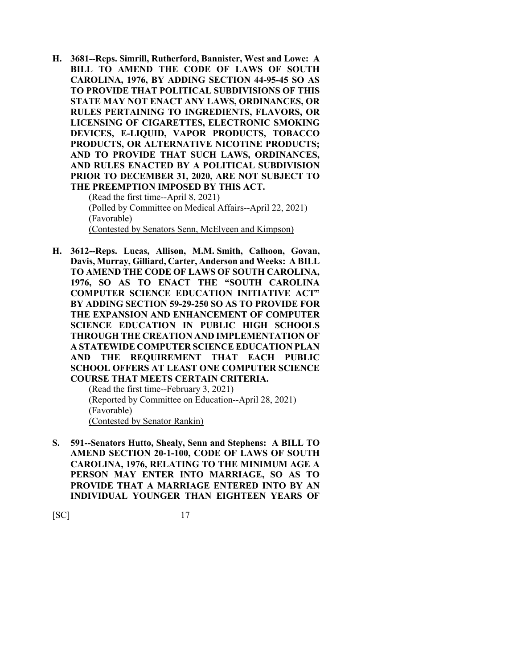**H. 3681--Reps. Simrill, Rutherford, Bannister, West and Lowe: A BILL TO AMEND THE CODE OF LAWS OF SOUTH CAROLINA, 1976, BY ADDING SECTION 44-95-45 SO AS TO PROVIDE THAT POLITICAL SUBDIVISIONS OF THIS STATE MAY NOT ENACT ANY LAWS, ORDINANCES, OR RULES PERTAINING TO INGREDIENTS, FLAVORS, OR LICENSING OF CIGARETTES, ELECTRONIC SMOKING DEVICES, E-LIQUID, VAPOR PRODUCTS, TOBACCO PRODUCTS, OR ALTERNATIVE NICOTINE PRODUCTS; AND TO PROVIDE THAT SUCH LAWS, ORDINANCES, AND RULES ENACTED BY A POLITICAL SUBDIVISION PRIOR TO DECEMBER 31, 2020, ARE NOT SUBJECT TO THE PREEMPTION IMPOSED BY THIS ACT.**

(Read the first time--April 8, 2021) (Polled by Committee on Medical Affairs--April 22, 2021) (Favorable) (Contested by Senators Senn, McElveen and Kimpson)

**H. 3612--Reps. Lucas, Allison, M.M. Smith, Calhoon, Govan, Davis, Murray, Gilliard, Carter, Anderson and Weeks: A BILL TO AMEND THE CODE OF LAWS OF SOUTH CAROLINA, 1976, SO AS TO ENACT THE "SOUTH CAROLINA COMPUTER SCIENCE EDUCATION INITIATIVE ACT" BY ADDING SECTION 59-29-250 SO AS TO PROVIDE FOR THE EXPANSION AND ENHANCEMENT OF COMPUTER SCIENCE EDUCATION IN PUBLIC HIGH SCHOOLS THROUGH THE CREATION AND IMPLEMENTATION OF A STATEWIDE COMPUTER SCIENCE EDUCATION PLAN AND THE REQUIREMENT THAT EACH PUBLIC SCHOOL OFFERS AT LEAST ONE COMPUTER SCIENCE COURSE THAT MEETS CERTAIN CRITERIA.**

(Read the first time--February 3, 2021) (Reported by Committee on Education--April 28, 2021) (Favorable) (Contested by Senator Rankin)

**S. 591--Senators Hutto, Shealy, Senn and Stephens: A BILL TO AMEND SECTION 20-1-100, CODE OF LAWS OF SOUTH CAROLINA, 1976, RELATING TO THE MINIMUM AGE A PERSON MAY ENTER INTO MARRIAGE, SO AS TO PROVIDE THAT A MARRIAGE ENTERED INTO BY AN INDIVIDUAL YOUNGER THAN EIGHTEEN YEARS OF**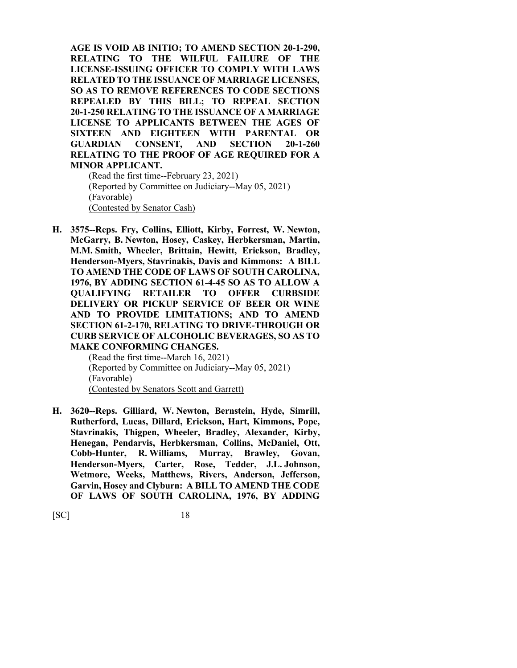**AGE IS VOID AB INITIO; TO AMEND SECTION 20-1-290, RELATING TO THE WILFUL FAILURE OF THE LICENSE-ISSUING OFFICER TO COMPLY WITH LAWS RELATED TO THE ISSUANCE OF MARRIAGE LICENSES, SO AS TO REMOVE REFERENCES TO CODE SECTIONS REPEALED BY THIS BILL; TO REPEAL SECTION 20-1-250 RELATING TO THE ISSUANCE OF A MARRIAGE LICENSE TO APPLICANTS BETWEEN THE AGES OF SIXTEEN AND EIGHTEEN WITH PARENTAL OR GUARDIAN CONSENT, AND SECTION 20-1-260 RELATING TO THE PROOF OF AGE REQUIRED FOR A MINOR APPLICANT.**

(Read the first time--February 23, 2021) (Reported by Committee on Judiciary--May 05, 2021) (Favorable) (Contested by Senator Cash)

**H. 3575--Reps. Fry, Collins, Elliott, Kirby, Forrest, W. Newton, McGarry, B. Newton, Hosey, Caskey, Herbkersman, Martin, M.M. Smith, Wheeler, Brittain, Hewitt, Erickson, Bradley, Henderson-Myers, Stavrinakis, Davis and Kimmons: A BILL TO AMEND THE CODE OF LAWS OF SOUTH CAROLINA, 1976, BY ADDING SECTION 61-4-45 SO AS TO ALLOW A QUALIFYING RETAILER TO OFFER CURBSIDE DELIVERY OR PICKUP SERVICE OF BEER OR WINE AND TO PROVIDE LIMITATIONS; AND TO AMEND SECTION 61-2-170, RELATING TO DRIVE-THROUGH OR CURB SERVICE OF ALCOHOLIC BEVERAGES, SO AS TO MAKE CONFORMING CHANGES.**

(Read the first time--March 16, 2021) (Reported by Committee on Judiciary--May 05, 2021) (Favorable) (Contested by Senators Scott and Garrett)

**H. 3620--Reps. Gilliard, W. Newton, Bernstein, Hyde, Simrill, Rutherford, Lucas, Dillard, Erickson, Hart, Kimmons, Pope, Stavrinakis, Thigpen, Wheeler, Bradley, Alexander, Kirby, Henegan, Pendarvis, Herbkersman, Collins, McDaniel, Ott, Cobb-Hunter, R. Williams, Murray, Brawley, Govan, Henderson-Myers, Carter, Rose, Tedder, J.L. Johnson, Wetmore, Weeks, Matthews, Rivers, Anderson, Jefferson, Garvin, Hosey and Clyburn: A BILL TO AMEND THE CODE OF LAWS OF SOUTH CAROLINA, 1976, BY ADDING**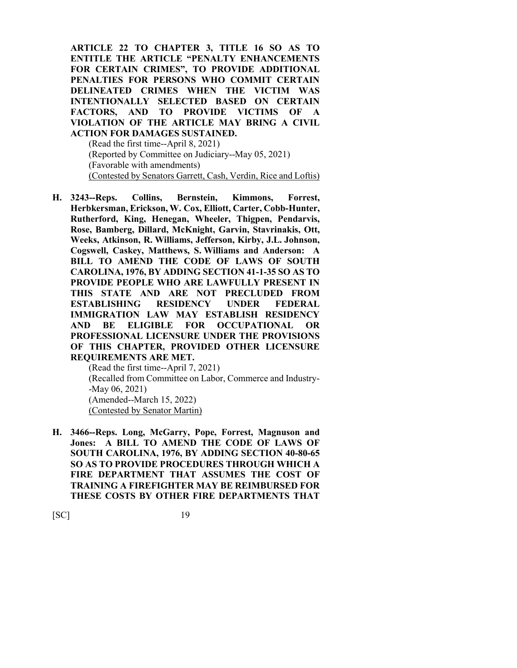**ARTICLE 22 TO CHAPTER 3, TITLE 16 SO AS TO ENTITLE THE ARTICLE "PENALTY ENHANCEMENTS FOR CERTAIN CRIMES", TO PROVIDE ADDITIONAL PENALTIES FOR PERSONS WHO COMMIT CERTAIN DELINEATED CRIMES WHEN THE VICTIM WAS INTENTIONALLY SELECTED BASED ON CERTAIN FACTORS, AND TO PROVIDE VICTIMS OF A VIOLATION OF THE ARTICLE MAY BRING A CIVIL ACTION FOR DAMAGES SUSTAINED.**

(Read the first time--April 8, 2021) (Reported by Committee on Judiciary--May 05, 2021) (Favorable with amendments) (Contested by Senators Garrett, Cash, Verdin, Rice and Loftis)

**H. 3243--Reps. Collins, Bernstein, Kimmons, Forrest, Herbkersman, Erickson, W. Cox, Elliott, Carter, Cobb-Hunter, Rutherford, King, Henegan, Wheeler, Thigpen, Pendarvis, Rose, Bamberg, Dillard, McKnight, Garvin, Stavrinakis, Ott, Weeks, Atkinson, R. Williams, Jefferson, Kirby, J.L. Johnson, Cogswell, Caskey, Matthews, S. Williams and Anderson: A BILL TO AMEND THE CODE OF LAWS OF SOUTH CAROLINA, 1976, BY ADDING SECTION 41-1-35 SO AS TO PROVIDE PEOPLE WHO ARE LAWFULLY PRESENT IN THIS STATE AND ARE NOT PRECLUDED FROM ESTABLISHING RESIDENCY UNDER FEDERAL IMMIGRATION LAW MAY ESTABLISH RESIDENCY AND BE ELIGIBLE FOR OCCUPATIONAL OR PROFESSIONAL LICENSURE UNDER THE PROVISIONS OF THIS CHAPTER, PROVIDED OTHER LICENSURE REQUIREMENTS ARE MET.**

(Read the first time--April 7, 2021) (Recalled from Committee on Labor, Commerce and Industry- -May 06, 2021) (Amended--March 15, 2022) (Contested by Senator Martin)

**H. 3466--Reps. Long, McGarry, Pope, Forrest, Magnuson and Jones: A BILL TO AMEND THE CODE OF LAWS OF SOUTH CAROLINA, 1976, BY ADDING SECTION 40-80-65 SO AS TO PROVIDE PROCEDURES THROUGH WHICH A FIRE DEPARTMENT THAT ASSUMES THE COST OF TRAINING A FIREFIGHTER MAY BE REIMBURSED FOR THESE COSTS BY OTHER FIRE DEPARTMENTS THAT**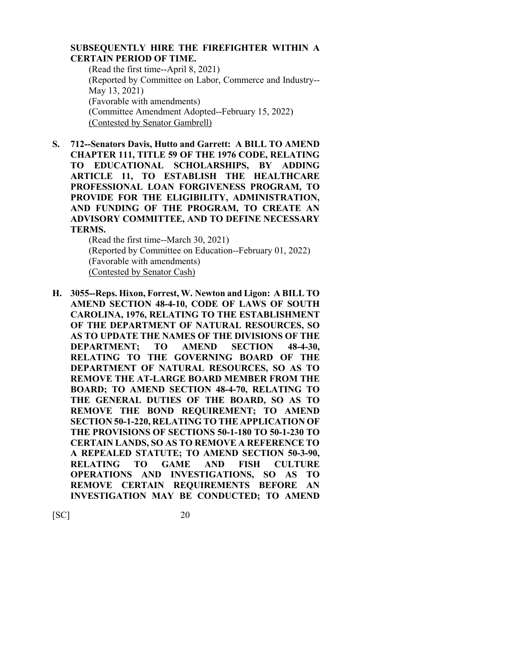## **SUBSEQUENTLY HIRE THE FIREFIGHTER WITHIN A CERTAIN PERIOD OF TIME.**

(Read the first time--April 8, 2021) (Reported by Committee on Labor, Commerce and Industry-- May 13, 2021) (Favorable with amendments) (Committee Amendment Adopted--February 15, 2022) (Contested by Senator Gambrell)

**S. 712--Senators Davis, Hutto and Garrett: A BILL TO AMEND CHAPTER 111, TITLE 59 OF THE 1976 CODE, RELATING TO EDUCATIONAL SCHOLARSHIPS, BY ADDING ARTICLE 11, TO ESTABLISH THE HEALTHCARE PROFESSIONAL LOAN FORGIVENESS PROGRAM, TO PROVIDE FOR THE ELIGIBILITY, ADMINISTRATION, AND FUNDING OF THE PROGRAM, TO CREATE AN ADVISORY COMMITTEE, AND TO DEFINE NECESSARY TERMS.**

(Read the first time--March 30, 2021) (Reported by Committee on Education--February 01, 2022) (Favorable with amendments) (Contested by Senator Cash)

**H. 3055--Reps. Hixon, Forrest, W. Newton and Ligon: A BILL TO AMEND SECTION 48-4-10, CODE OF LAWS OF SOUTH CAROLINA, 1976, RELATING TO THE ESTABLISHMENT OF THE DEPARTMENT OF NATURAL RESOURCES, SO AS TO UPDATE THE NAMES OF THE DIVISIONS OF THE DEPARTMENT; TO AMEND SECTION 48-4-30, RELATING TO THE GOVERNING BOARD OF THE DEPARTMENT OF NATURAL RESOURCES, SO AS TO REMOVE THE AT-LARGE BOARD MEMBER FROM THE BOARD; TO AMEND SECTION 48-4-70, RELATING TO THE GENERAL DUTIES OF THE BOARD, SO AS TO REMOVE THE BOND REQUIREMENT; TO AMEND SECTION 50-1-220, RELATING TO THE APPLICATION OF THE PROVISIONS OF SECTIONS 50-1-180 TO 50-1-230 TO CERTAIN LANDS, SO AS TO REMOVE A REFERENCE TO A REPEALED STATUTE; TO AMEND SECTION 50-3-90, RELATING TO GAME AND FISH CULTURE OPERATIONS AND INVESTIGATIONS, SO AS TO REMOVE CERTAIN REQUIREMENTS BEFORE AN INVESTIGATION MAY BE CONDUCTED; TO AMEND**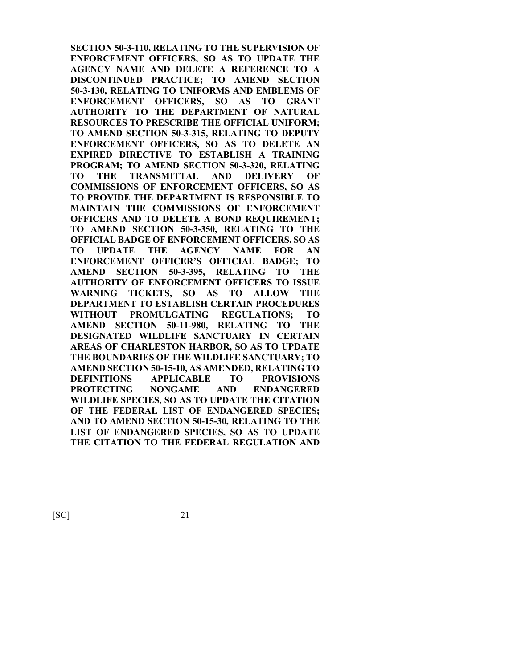**SECTION 50-3-110, RELATING TO THE SUPERVISION OF ENFORCEMENT OFFICERS, SO AS TO UPDATE THE AGENCY NAME AND DELETE A REFERENCE TO A DISCONTINUED PRACTICE; TO AMEND SECTION 50-3-130, RELATING TO UNIFORMS AND EMBLEMS OF ENFORCEMENT OFFICERS, SO AS TO GRANT AUTHORITY TO THE DEPARTMENT OF NATURAL RESOURCES TO PRESCRIBE THE OFFICIAL UNIFORM; TO AMEND SECTION 50-3-315, RELATING TO DEPUTY ENFORCEMENT OFFICERS, SO AS TO DELETE AN EXPIRED DIRECTIVE TO ESTABLISH A TRAINING PROGRAM; TO AMEND SECTION 50-3-320, RELATING TO THE TRANSMITTAL AND DELIVERY OF COMMISSIONS OF ENFORCEMENT OFFICERS, SO AS TO PROVIDE THE DEPARTMENT IS RESPONSIBLE TO MAINTAIN THE COMMISSIONS OF ENFORCEMENT OFFICERS AND TO DELETE A BOND REQUIREMENT; TO AMEND SECTION 50-3-350, RELATING TO THE OFFICIAL BADGE OF ENFORCEMENT OFFICERS, SO AS TO UPDATE THE AGENCY NAME FOR AN ENFORCEMENT OFFICER'S OFFICIAL BADGE; TO AMEND SECTION 50-3-395, RELATING TO THE AUTHORITY OF ENFORCEMENT OFFICERS TO ISSUE WARNING TICKETS, SO AS TO ALLOW THE DEPARTMENT TO ESTABLISH CERTAIN PROCEDURES WITHOUT PROMULGATING REGULATIONS; TO AMEND SECTION 50-11-980, RELATING TO THE DESIGNATED WILDLIFE SANCTUARY IN CERTAIN AREAS OF CHARLESTON HARBOR, SO AS TO UPDATE THE BOUNDARIES OF THE WILDLIFE SANCTUARY; TO AMEND SECTION 50-15-10, AS AMENDED, RELATING TO DEFINITIONS APPLICABLE TO PROVISIONS PROTECTING NONGAME AND ENDANGERED WILDLIFE SPECIES, SO AS TO UPDATE THE CITATION OF THE FEDERAL LIST OF ENDANGERED SPECIES; AND TO AMEND SECTION 50-15-30, RELATING TO THE LIST OF ENDANGERED SPECIES, SO AS TO UPDATE THE CITATION TO THE FEDERAL REGULATION AND**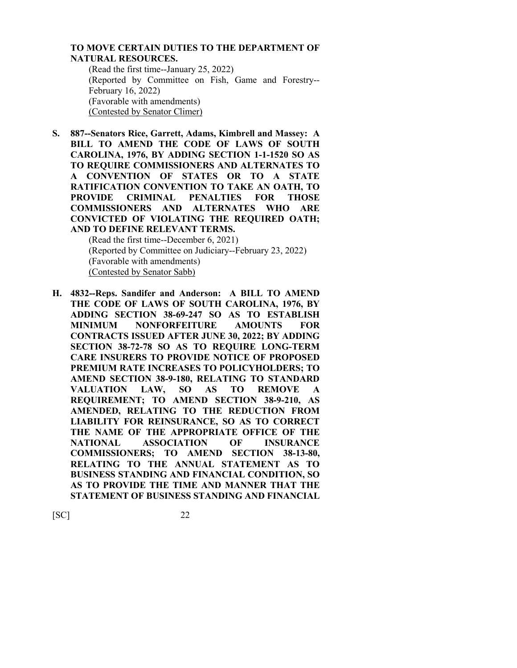### **TO MOVE CERTAIN DUTIES TO THE DEPARTMENT OF NATURAL RESOURCES.**

(Read the first time--January 25, 2022) (Reported by Committee on Fish, Game and Forestry-- February 16, 2022) (Favorable with amendments) (Contested by Senator Climer)

**S. 887--Senators Rice, Garrett, Adams, Kimbrell and Massey: A BILL TO AMEND THE CODE OF LAWS OF SOUTH CAROLINA, 1976, BY ADDING SECTION 1-1-1520 SO AS TO REQUIRE COMMISSIONERS AND ALTERNATES TO A CONVENTION OF STATES OR TO A STATE RATIFICATION CONVENTION TO TAKE AN OATH, TO PROVIDE CRIMINAL PENALTIES FOR THOSE COMMISSIONERS AND ALTERNATES WHO ARE CONVICTED OF VIOLATING THE REQUIRED OATH; AND TO DEFINE RELEVANT TERMS.**

(Read the first time--December 6, 2021) (Reported by Committee on Judiciary--February 23, 2022) (Favorable with amendments) (Contested by Senator Sabb)

**H. 4832--Reps. Sandifer and Anderson: A BILL TO AMEND THE CODE OF LAWS OF SOUTH CAROLINA, 1976, BY ADDING SECTION 38-69-247 SO AS TO ESTABLISH MINIMUM NONFORFEITURE AMOUNTS FOR CONTRACTS ISSUED AFTER JUNE 30, 2022; BY ADDING SECTION 38-72-78 SO AS TO REQUIRE LONG-TERM CARE INSURERS TO PROVIDE NOTICE OF PROPOSED PREMIUM RATE INCREASES TO POLICYHOLDERS; TO AMEND SECTION 38-9-180, RELATING TO STANDARD VALUATION LAW, SO AS TO REMOVE A REQUIREMENT; TO AMEND SECTION 38-9-210, AS AMENDED, RELATING TO THE REDUCTION FROM LIABILITY FOR REINSURANCE, SO AS TO CORRECT THE NAME OF THE APPROPRIATE OFFICE OF THE NATIONAL ASSOCIATION OF INSURANCE COMMISSIONERS; TO AMEND SECTION 38-13-80, RELATING TO THE ANNUAL STATEMENT AS TO BUSINESS STANDING AND FINANCIAL CONDITION, SO AS TO PROVIDE THE TIME AND MANNER THAT THE STATEMENT OF BUSINESS STANDING AND FINANCIAL**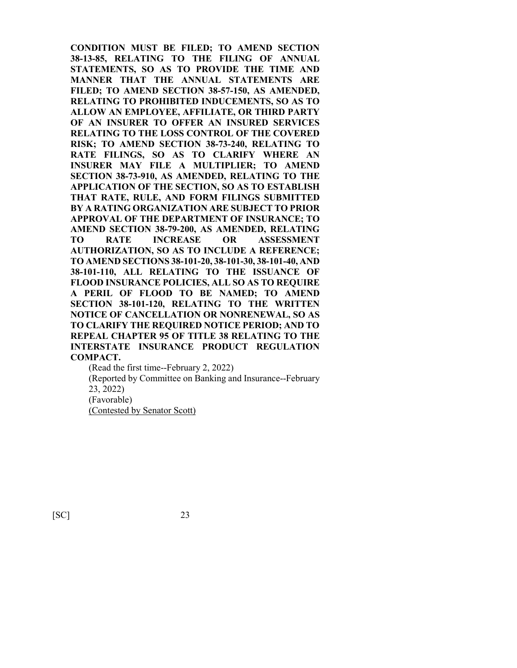**CONDITION MUST BE FILED; TO AMEND SECTION 38-13-85, RELATING TO THE FILING OF ANNUAL STATEMENTS, SO AS TO PROVIDE THE TIME AND MANNER THAT THE ANNUAL STATEMENTS ARE FILED; TO AMEND SECTION 38-57-150, AS AMENDED, RELATING TO PROHIBITED INDUCEMENTS, SO AS TO ALLOW AN EMPLOYEE, AFFILIATE, OR THIRD PARTY OF AN INSURER TO OFFER AN INSURED SERVICES RELATING TO THE LOSS CONTROL OF THE COVERED RISK; TO AMEND SECTION 38-73-240, RELATING TO RATE FILINGS, SO AS TO CLARIFY WHERE AN INSURER MAY FILE A MULTIPLIER; TO AMEND SECTION 38-73-910, AS AMENDED, RELATING TO THE APPLICATION OF THE SECTION, SO AS TO ESTABLISH THAT RATE, RULE, AND FORM FILINGS SUBMITTED BY A RATING ORGANIZATION ARE SUBJECT TO PRIOR APPROVAL OF THE DEPARTMENT OF INSURANCE; TO AMEND SECTION 38-79-200, AS AMENDED, RELATING TO RATE INCREASE OR ASSESSMENT AUTHORIZATION, SO AS TO INCLUDE A REFERENCE; TO AMEND SECTIONS 38-101-20, 38-101-30, 38-101-40, AND 38-101-110, ALL RELATING TO THE ISSUANCE OF FLOOD INSURANCE POLICIES, ALL SO AS TO REQUIRE A PERIL OF FLOOD TO BE NAMED; TO AMEND SECTION 38-101-120, RELATING TO THE WRITTEN NOTICE OF CANCELLATION OR NONRENEWAL, SO AS TO CLARIFY THE REQUIRED NOTICE PERIOD; AND TO REPEAL CHAPTER 95 OF TITLE 38 RELATING TO THE INTERSTATE INSURANCE PRODUCT REGULATION COMPACT.**

(Read the first time--February 2, 2022)

(Reported by Committee on Banking and Insurance--February 23, 2022) (Favorable)

(Contested by Senator Scott)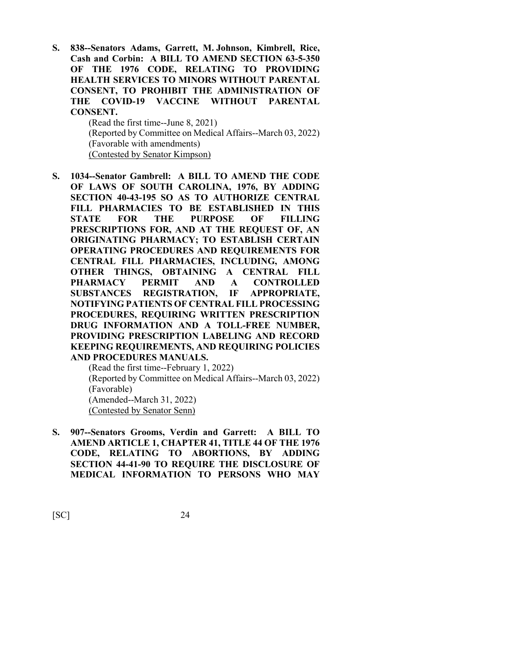**S. 838--Senators Adams, Garrett, M. Johnson, Kimbrell, Rice, Cash and Corbin: A BILL TO AMEND SECTION 63-5-350 OF THE 1976 CODE, RELATING TO PROVIDING HEALTH SERVICES TO MINORS WITHOUT PARENTAL CONSENT, TO PROHIBIT THE ADMINISTRATION OF THE COVID-19 VACCINE WITHOUT PARENTAL CONSENT.**

> (Read the first time--June 8, 2021) (Reported by Committee on Medical Affairs--March 03, 2022) (Favorable with amendments) (Contested by Senator Kimpson)

**S. 1034--Senator Gambrell: A BILL TO AMEND THE CODE OF LAWS OF SOUTH CAROLINA, 1976, BY ADDING SECTION 40-43-195 SO AS TO AUTHORIZE CENTRAL FILL PHARMACIES TO BE ESTABLISHED IN THIS STATE FOR THE PURPOSE OF FILLING PRESCRIPTIONS FOR, AND AT THE REQUEST OF, AN ORIGINATING PHARMACY; TO ESTABLISH CERTAIN OPERATING PROCEDURES AND REQUIREMENTS FOR CENTRAL FILL PHARMACIES, INCLUDING, AMONG OTHER THINGS, OBTAINING A CENTRAL FILL PHARMACY PERMIT AND A CONTROLLED SUBSTANCES REGISTRATION, IF APPROPRIATE, NOTIFYING PATIENTS OF CENTRAL FILL PROCESSING PROCEDURES, REQUIRING WRITTEN PRESCRIPTION DRUG INFORMATION AND A TOLL-FREE NUMBER, PROVIDING PRESCRIPTION LABELING AND RECORD KEEPING REQUIREMENTS, AND REQUIRING POLICIES AND PROCEDURES MANUALS.**

(Read the first time--February 1, 2022) (Reported by Committee on Medical Affairs--March 03, 2022) (Favorable) (Amended--March 31, 2022) (Contested by Senator Senn)

**S. 907--Senators Grooms, Verdin and Garrett: A BILL TO AMEND ARTICLE 1, CHAPTER 41, TITLE 44 OF THE 1976 CODE, RELATING TO ABORTIONS, BY ADDING SECTION 44-41-90 TO REQUIRE THE DISCLOSURE OF MEDICAL INFORMATION TO PERSONS WHO MAY**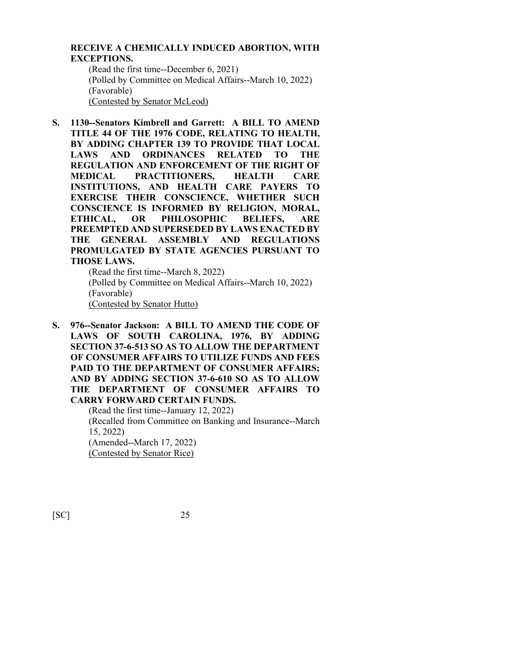#### **RECEIVE A CHEMICALLY INDUCED ABORTION, WITH EXCEPTIONS.**

(Read the first time--December 6, 2021) (Polled by Committee on Medical Affairs--March 10, 2022) (Favorable) (Contested by Senator McLeod)

**S. 1130--Senators Kimbrell and Garrett: A BILL TO AMEND TITLE 44 OF THE 1976 CODE, RELATING TO HEALTH, BY ADDING CHAPTER 139 TO PROVIDE THAT LOCAL LAWS AND ORDINANCES RELATED TO THE REGULATION AND ENFORCEMENT OF THE RIGHT OF MEDICAL PRACTITIONERS, HEALTH CARE INSTITUTIONS, AND HEALTH CARE PAYERS TO EXERCISE THEIR CONSCIENCE, WHETHER SUCH CONSCIENCE IS INFORMED BY RELIGION, MORAL, ETHICAL, OR PHILOSOPHIC BELIEFS, ARE PREEMPTED AND SUPERSEDED BY LAWS ENACTED BY THE GENERAL ASSEMBLY AND REGULATIONS PROMULGATED BY STATE AGENCIES PURSUANT TO THOSE LAWS.**

(Read the first time--March 8, 2022) (Polled by Committee on Medical Affairs--March 10, 2022) (Favorable) (Contested by Senator Hutto)

**S. 976--Senator Jackson: A BILL TO AMEND THE CODE OF LAWS OF SOUTH CAROLINA, 1976, BY ADDING SECTION 37-6-513 SO AS TO ALLOW THE DEPARTMENT OF CONSUMER AFFAIRS TO UTILIZE FUNDS AND FEES PAID TO THE DEPARTMENT OF CONSUMER AFFAIRS; AND BY ADDING SECTION 37-6-610 SO AS TO ALLOW THE DEPARTMENT OF CONSUMER AFFAIRS TO CARRY FORWARD CERTAIN FUNDS.**

(Read the first time--January 12, 2022) (Recalled from Committee on Banking and Insurance--March 15, 2022) (Amended--March 17, 2022) (Contested by Senator Rice)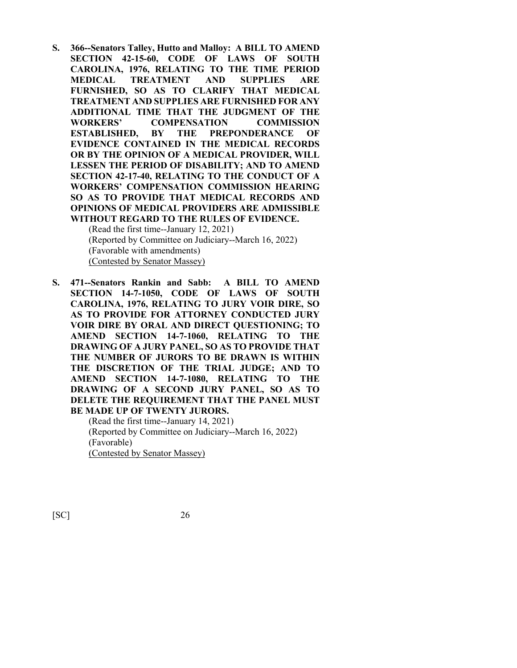**S. 366--Senators Talley, Hutto and Malloy: A BILL TO AMEND SECTION 42-15-60, CODE OF LAWS OF SOUTH CAROLINA, 1976, RELATING TO THE TIME PERIOD MEDICAL TREATMENT AND SUPPLIES ARE FURNISHED, SO AS TO CLARIFY THAT MEDICAL TREATMENT AND SUPPLIES ARE FURNISHED FOR ANY ADDITIONAL TIME THAT THE JUDGMENT OF THE WORKERS' COMPENSATION COMMISSION ESTABLISHED, BY THE PREPONDERANCE OF EVIDENCE CONTAINED IN THE MEDICAL RECORDS OR BY THE OPINION OF A MEDICAL PROVIDER, WILL LESSEN THE PERIOD OF DISABILITY; AND TO AMEND SECTION 42-17-40, RELATING TO THE CONDUCT OF A WORKERS' COMPENSATION COMMISSION HEARING SO AS TO PROVIDE THAT MEDICAL RECORDS AND OPINIONS OF MEDICAL PROVIDERS ARE ADMISSIBLE WITHOUT REGARD TO THE RULES OF EVIDENCE.**

(Read the first time--January 12, 2021) (Reported by Committee on Judiciary--March 16, 2022) (Favorable with amendments) (Contested by Senator Massey)

**S. 471--Senators Rankin and Sabb: A BILL TO AMEND SECTION 14-7-1050, CODE OF LAWS OF SOUTH CAROLINA, 1976, RELATING TO JURY VOIR DIRE, SO AS TO PROVIDE FOR ATTORNEY CONDUCTED JURY VOIR DIRE BY ORAL AND DIRECT QUESTIONING; TO AMEND SECTION 14-7-1060, RELATING TO THE DRAWING OF A JURY PANEL, SO AS TO PROVIDE THAT THE NUMBER OF JURORS TO BE DRAWN IS WITHIN THE DISCRETION OF THE TRIAL JUDGE; AND TO AMEND SECTION 14-7-1080, RELATING TO THE DRAWING OF A SECOND JURY PANEL, SO AS TO DELETE THE REQUIREMENT THAT THE PANEL MUST BE MADE UP OF TWENTY JURORS.**

> (Read the first time--January 14, 2021) (Reported by Committee on Judiciary--March 16, 2022) (Favorable) (Contested by Senator Massey)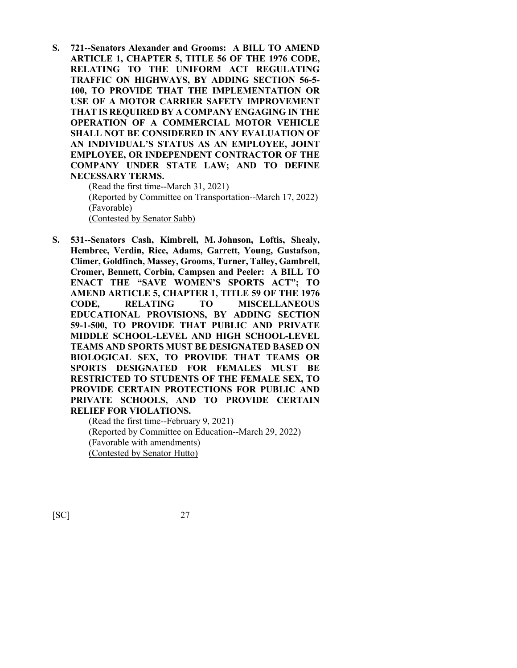**S. 721--Senators Alexander and Grooms: A BILL TO AMEND ARTICLE 1, CHAPTER 5, TITLE 56 OF THE 1976 CODE, RELATING TO THE UNIFORM ACT REGULATING TRAFFIC ON HIGHWAYS, BY ADDING SECTION 56-5- 100, TO PROVIDE THAT THE IMPLEMENTATION OR USE OF A MOTOR CARRIER SAFETY IMPROVEMENT THAT IS REQUIRED BY A COMPANY ENGAGING IN THE OPERATION OF A COMMERCIAL MOTOR VEHICLE SHALL NOT BE CONSIDERED IN ANY EVALUATION OF AN INDIVIDUAL'S STATUS AS AN EMPLOYEE, JOINT EMPLOYEE, OR INDEPENDENT CONTRACTOR OF THE COMPANY UNDER STATE LAW; AND TO DEFINE NECESSARY TERMS.** (Read the first time--March 31, 2021)

(Reported by Committee on Transportation--March 17, 2022) (Favorable) (Contested by Senator Sabb)

**S. 531--Senators Cash, Kimbrell, M. Johnson, Loftis, Shealy, Hembree, Verdin, Rice, Adams, Garrett, Young, Gustafson, Climer, Goldfinch, Massey, Grooms, Turner, Talley, Gambrell, Cromer, Bennett, Corbin, Campsen and Peeler: A BILL TO ENACT THE "SAVE WOMEN'S SPORTS ACT"; TO AMEND ARTICLE 5, CHAPTER 1, TITLE 59 OF THE 1976 CODE, RELATING TO MISCELLANEOUS EDUCATIONAL PROVISIONS, BY ADDING SECTION 59-1-500, TO PROVIDE THAT PUBLIC AND PRIVATE MIDDLE SCHOOL-LEVEL AND HIGH SCHOOL-LEVEL TEAMS AND SPORTS MUST BE DESIGNATED BASED ON BIOLOGICAL SEX, TO PROVIDE THAT TEAMS OR SPORTS DESIGNATED FOR FEMALES MUST BE RESTRICTED TO STUDENTS OF THE FEMALE SEX, TO PROVIDE CERTAIN PROTECTIONS FOR PUBLIC AND PRIVATE SCHOOLS, AND TO PROVIDE CERTAIN RELIEF FOR VIOLATIONS.**

(Read the first time--February 9, 2021) (Reported by Committee on Education--March 29, 2022) (Favorable with amendments) (Contested by Senator Hutto)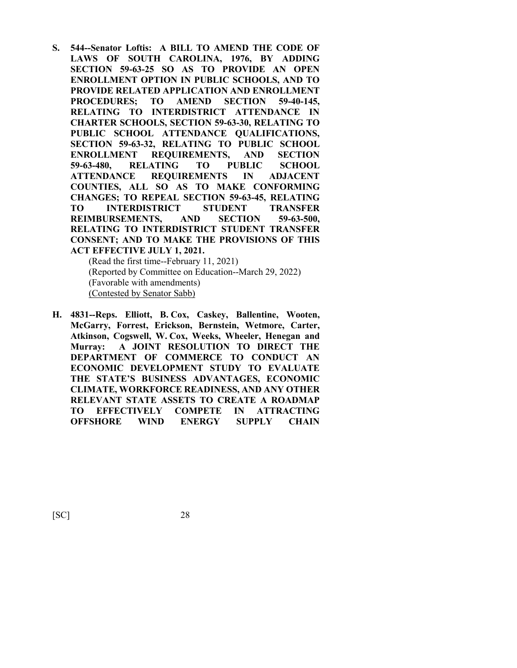**S. 544--Senator Loftis: A BILL TO AMEND THE CODE OF LAWS OF SOUTH CAROLINA, 1976, BY ADDING SECTION 59-63-25 SO AS TO PROVIDE AN OPEN ENROLLMENT OPTION IN PUBLIC SCHOOLS, AND TO PROVIDE RELATED APPLICATION AND ENROLLMENT PROCEDURES; TO AMEND SECTION 59-40-145, RELATING TO INTERDISTRICT ATTENDANCE IN CHARTER SCHOOLS, SECTION 59-63-30, RELATING TO PUBLIC SCHOOL ATTENDANCE QUALIFICATIONS, SECTION 59-63-32, RELATING TO PUBLIC SCHOOL ENROLLMENT REQUIREMENTS, AND SECTION 59-63-480, RELATING TO PUBLIC SCHOOL ATTENDANCE REQUIREMENTS IN ADJACENT COUNTIES, ALL SO AS TO MAKE CONFORMING CHANGES; TO REPEAL SECTION 59-63-45, RELATING TO INTERDISTRICT STUDENT TRANSFER REIMBURSEMENTS, AND SECTION 59-63-500, RELATING TO INTERDISTRICT STUDENT TRANSFER CONSENT; AND TO MAKE THE PROVISIONS OF THIS ACT EFFECTIVE JULY 1, 2021.**

(Read the first time--February 11, 2021) (Reported by Committee on Education--March 29, 2022) (Favorable with amendments) (Contested by Senator Sabb)

**H. 4831--Reps. Elliott, B. Cox, Caskey, Ballentine, Wooten, McGarry, Forrest, Erickson, Bernstein, Wetmore, Carter, Atkinson, Cogswell, W. Cox, Weeks, Wheeler, Henegan and Murray: A JOINT RESOLUTION TO DIRECT THE DEPARTMENT OF COMMERCE TO CONDUCT AN ECONOMIC DEVELOPMENT STUDY TO EVALUATE THE STATE'S BUSINESS ADVANTAGES, ECONOMIC CLIMATE, WORKFORCE READINESS, AND ANY OTHER RELEVANT STATE ASSETS TO CREATE A ROADMAP TO EFFECTIVELY COMPETE IN ATTRACTING OFFSHORE WIND ENERGY SUPPLY CHAIN**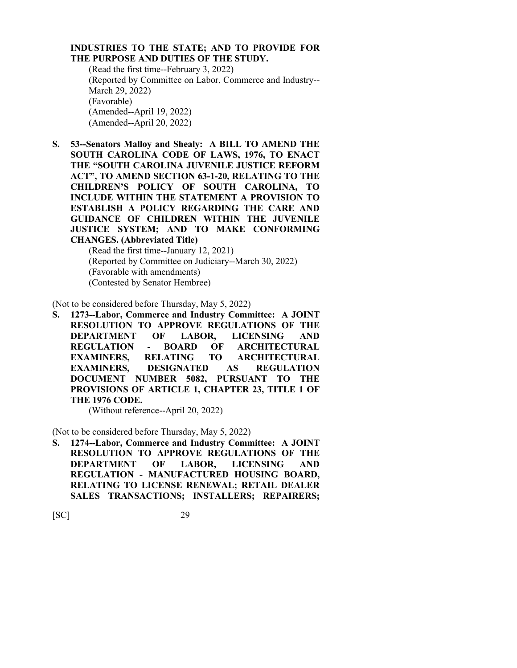# **INDUSTRIES TO THE STATE; AND TO PROVIDE FOR THE PURPOSE AND DUTIES OF THE STUDY.**

(Read the first time--February 3, 2022) (Reported by Committee on Labor, Commerce and Industry-- March 29, 2022) (Favorable) (Amended--April 19, 2022) (Amended--April 20, 2022)

**S. 53--Senators Malloy and Shealy: A BILL TO AMEND THE SOUTH CAROLINA CODE OF LAWS, 1976, TO ENACT THE "SOUTH CAROLINA JUVENILE JUSTICE REFORM ACT", TO AMEND SECTION 63-1-20, RELATING TO THE CHILDREN'S POLICY OF SOUTH CAROLINA, TO INCLUDE WITHIN THE STATEMENT A PROVISION TO ESTABLISH A POLICY REGARDING THE CARE AND GUIDANCE OF CHILDREN WITHIN THE JUVENILE JUSTICE SYSTEM; AND TO MAKE CONFORMING CHANGES. (Abbreviated Title)**

(Read the first time--January 12, 2021) (Reported by Committee on Judiciary--March 30, 2022) (Favorable with amendments) (Contested by Senator Hembree)

(Not to be considered before Thursday, May 5, 2022)

**S. 1273--Labor, Commerce and Industry Committee: A JOINT RESOLUTION TO APPROVE REGULATIONS OF THE DEPARTMENT OF LABOR, LICENSING AND REGULATION - BOARD OF ARCHITECTURAL EXAMINERS, RELATING TO ARCHITECTURAL EXAMINERS, DESIGNATED AS REGULATION DOCUMENT NUMBER 5082, PURSUANT TO THE PROVISIONS OF ARTICLE 1, CHAPTER 23, TITLE 1 OF THE 1976 CODE.**

(Without reference--April 20, 2022)

(Not to be considered before Thursday, May 5, 2022)

**S. 1274--Labor, Commerce and Industry Committee: A JOINT RESOLUTION TO APPROVE REGULATIONS OF THE DEPARTMENT OF LABOR, LICENSING AND REGULATION - MANUFACTURED HOUSING BOARD, RELATING TO LICENSE RENEWAL; RETAIL DEALER SALES TRANSACTIONS; INSTALLERS; REPAIRERS;**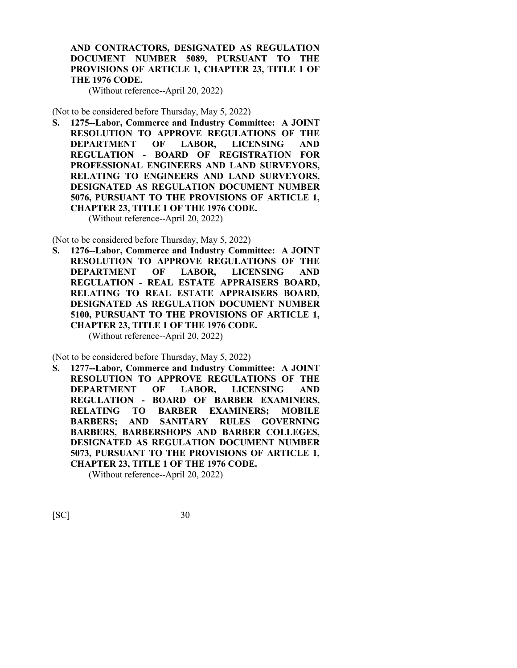**AND CONTRACTORS, DESIGNATED AS REGULATION DOCUMENT NUMBER 5089, PURSUANT TO THE PROVISIONS OF ARTICLE 1, CHAPTER 23, TITLE 1 OF THE 1976 CODE.**

(Without reference--April 20, 2022)

(Not to be considered before Thursday, May 5, 2022)

**S. 1275--Labor, Commerce and Industry Committee: A JOINT RESOLUTION TO APPROVE REGULATIONS OF THE DEPARTMENT OF LABOR, LICENSING AND REGULATION - BOARD OF REGISTRATION FOR PROFESSIONAL ENGINEERS AND LAND SURVEYORS, RELATING TO ENGINEERS AND LAND SURVEYORS, DESIGNATED AS REGULATION DOCUMENT NUMBER 5076, PURSUANT TO THE PROVISIONS OF ARTICLE 1, CHAPTER 23, TITLE 1 OF THE 1976 CODE.**

(Without reference--April 20, 2022)

(Not to be considered before Thursday, May 5, 2022)

**S. 1276--Labor, Commerce and Industry Committee: A JOINT RESOLUTION TO APPROVE REGULATIONS OF THE DEPARTMENT OF LABOR, LICENSING AND REGULATION - REAL ESTATE APPRAISERS BOARD, RELATING TO REAL ESTATE APPRAISERS BOARD, DESIGNATED AS REGULATION DOCUMENT NUMBER 5100, PURSUANT TO THE PROVISIONS OF ARTICLE 1, CHAPTER 23, TITLE 1 OF THE 1976 CODE.** (Without reference--April 20, 2022)

(Not to be considered before Thursday, May 5, 2022)

**S. 1277--Labor, Commerce and Industry Committee: A JOINT RESOLUTION TO APPROVE REGULATIONS OF THE DEPARTMENT OF LABOR, LICENSING AND REGULATION - BOARD OF BARBER EXAMINERS, RELATING TO BARBER EXAMINERS; MOBILE BARBERS; AND SANITARY RULES GOVERNING BARBERS, BARBERSHOPS AND BARBER COLLEGES, DESIGNATED AS REGULATION DOCUMENT NUMBER 5073, PURSUANT TO THE PROVISIONS OF ARTICLE 1, CHAPTER 23, TITLE 1 OF THE 1976 CODE.**

(Without reference--April 20, 2022)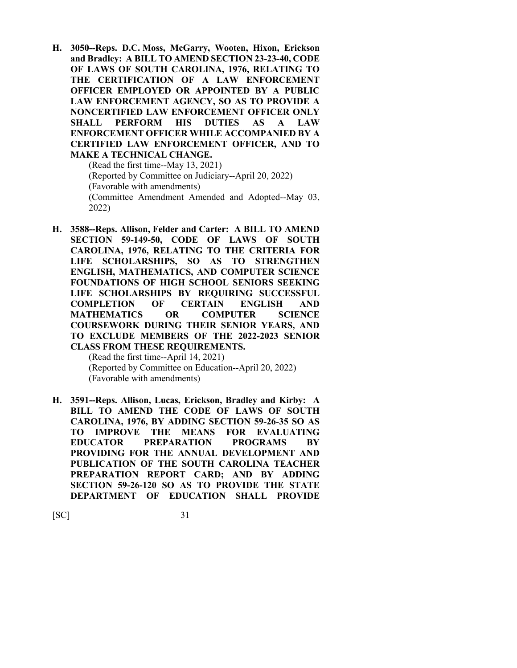**H. 3050--Reps. D.C. Moss, McGarry, Wooten, Hixon, Erickson and Bradley: A BILL TO AMEND SECTION 23-23-40, CODE OF LAWS OF SOUTH CAROLINA, 1976, RELATING TO THE CERTIFICATION OF A LAW ENFORCEMENT OFFICER EMPLOYED OR APPOINTED BY A PUBLIC LAW ENFORCEMENT AGENCY, SO AS TO PROVIDE A NONCERTIFIED LAW ENFORCEMENT OFFICER ONLY SHALL PERFORM HIS DUTIES AS A LAW ENFORCEMENT OFFICER WHILE ACCOMPANIED BY A CERTIFIED LAW ENFORCEMENT OFFICER, AND TO MAKE A TECHNICAL CHANGE.**

(Read the first time--May 13, 2021) (Reported by Committee on Judiciary--April 20, 2022) (Favorable with amendments) (Committee Amendment Amended and Adopted--May 03, 2022)

**H. 3588--Reps. Allison, Felder and Carter: A BILL TO AMEND SECTION 59-149-50, CODE OF LAWS OF SOUTH CAROLINA, 1976, RELATING TO THE CRITERIA FOR LIFE SCHOLARSHIPS, SO AS TO STRENGTHEN ENGLISH, MATHEMATICS, AND COMPUTER SCIENCE FOUNDATIONS OF HIGH SCHOOL SENIORS SEEKING LIFE SCHOLARSHIPS BY REQUIRING SUCCESSFUL COMPLETION OF CERTAIN ENGLISH AND MATHEMATICS OR COMPUTER SCIENCE COURSEWORK DURING THEIR SENIOR YEARS, AND TO EXCLUDE MEMBERS OF THE 2022-2023 SENIOR CLASS FROM THESE REQUIREMENTS.**

(Read the first time--April 14, 2021) (Reported by Committee on Education--April 20, 2022) (Favorable with amendments)

**H. 3591--Reps. Allison, Lucas, Erickson, Bradley and Kirby: A BILL TO AMEND THE CODE OF LAWS OF SOUTH CAROLINA, 1976, BY ADDING SECTION 59-26-35 SO AS TO IMPROVE THE MEANS FOR EVALUATING EDUCATOR PREPARATION PROGRAMS BY PROVIDING FOR THE ANNUAL DEVELOPMENT AND PUBLICATION OF THE SOUTH CAROLINA TEACHER PREPARATION REPORT CARD; AND BY ADDING SECTION 59-26-120 SO AS TO PROVIDE THE STATE DEPARTMENT OF EDUCATION SHALL PROVIDE**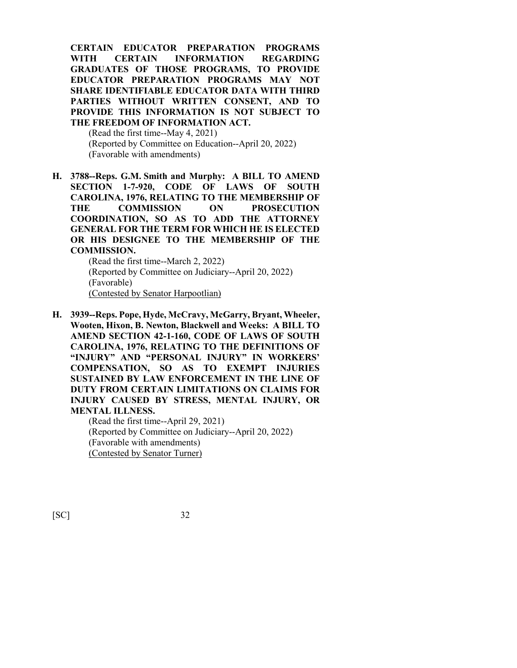**CERTAIN EDUCATOR PREPARATION PROGRAMS WITH CERTAIN INFORMATION REGARDING GRADUATES OF THOSE PROGRAMS, TO PROVIDE EDUCATOR PREPARATION PROGRAMS MAY NOT SHARE IDENTIFIABLE EDUCATOR DATA WITH THIRD PARTIES WITHOUT WRITTEN CONSENT, AND TO PROVIDE THIS INFORMATION IS NOT SUBJECT TO THE FREEDOM OF INFORMATION ACT.**

(Read the first time--May 4, 2021) (Reported by Committee on Education--April 20, 2022) (Favorable with amendments)

**H. 3788--Reps. G.M. Smith and Murphy: A BILL TO AMEND SECTION 1-7-920, CODE OF LAWS OF SOUTH CAROLINA, 1976, RELATING TO THE MEMBERSHIP OF THE COMMISSION ON PROSECUTION COORDINATION, SO AS TO ADD THE ATTORNEY GENERAL FOR THE TERM FOR WHICH HE IS ELECTED OR HIS DESIGNEE TO THE MEMBERSHIP OF THE COMMISSION.**

(Read the first time--March 2, 2022) (Reported by Committee on Judiciary--April 20, 2022) (Favorable) (Contested by Senator Harpootlian)

**H. 3939--Reps. Pope, Hyde, McCravy, McGarry, Bryant, Wheeler, Wooten, Hixon, B. Newton, Blackwell and Weeks: A BILL TO AMEND SECTION 42-1-160, CODE OF LAWS OF SOUTH CAROLINA, 1976, RELATING TO THE DEFINITIONS OF "INJURY" AND "PERSONAL INJURY" IN WORKERS' COMPENSATION, SO AS TO EXEMPT INJURIES SUSTAINED BY LAW ENFORCEMENT IN THE LINE OF DUTY FROM CERTAIN LIMITATIONS ON CLAIMS FOR INJURY CAUSED BY STRESS, MENTAL INJURY, OR MENTAL ILLNESS.**

> (Read the first time--April 29, 2021) (Reported by Committee on Judiciary--April 20, 2022) (Favorable with amendments) (Contested by Senator Turner)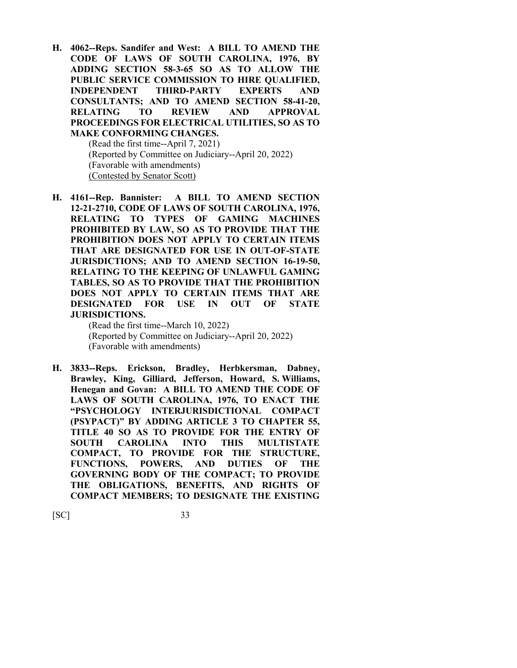**H. 4062--Reps. Sandifer and West: A BILL TO AMEND THE CODE OF LAWS OF SOUTH CAROLINA, 1976, BY ADDING SECTION 58-3-65 SO AS TO ALLOW THE PUBLIC SERVICE COMMISSION TO HIRE QUALIFIED, INDEPENDENT THIRD-PARTY EXPERTS AND CONSULTANTS; AND TO AMEND SECTION 58-41-20, RELATING TO REVIEW AND APPROVAL PROCEEDINGS FOR ELECTRICAL UTILITIES, SO AS TO MAKE CONFORMING CHANGES.**

(Read the first time--April 7, 2021) (Reported by Committee on Judiciary--April 20, 2022) (Favorable with amendments) (Contested by Senator Scott)

**H. 4161--Rep. Bannister: A BILL TO AMEND SECTION 12-21-2710, CODE OF LAWS OF SOUTH CAROLINA, 1976, RELATING TO TYPES OF GAMING MACHINES PROHIBITED BY LAW, SO AS TO PROVIDE THAT THE PROHIBITION DOES NOT APPLY TO CERTAIN ITEMS THAT ARE DESIGNATED FOR USE IN OUT-OF-STATE JURISDICTIONS; AND TO AMEND SECTION 16-19-50, RELATING TO THE KEEPING OF UNLAWFUL GAMING TABLES, SO AS TO PROVIDE THAT THE PROHIBITION DOES NOT APPLY TO CERTAIN ITEMS THAT ARE DESIGNATED FOR USE IN OUT OF STATE JURISDICTIONS.**

(Read the first time--March 10, 2022) (Reported by Committee on Judiciary--April 20, 2022) (Favorable with amendments)

**H. 3833--Reps. Erickson, Bradley, Herbkersman, Dabney, Brawley, King, Gilliard, Jefferson, Howard, S. Williams, Henegan and Govan: A BILL TO AMEND THE CODE OF LAWS OF SOUTH CAROLINA, 1976, TO ENACT THE "PSYCHOLOGY INTERJURISDICTIONAL COMPACT (PSYPACT)" BY ADDING ARTICLE 3 TO CHAPTER 55, TITLE 40 SO AS TO PROVIDE FOR THE ENTRY OF SOUTH CAROLINA INTO THIS MULTISTATE COMPACT, TO PROVIDE FOR THE STRUCTURE, FUNCTIONS, POWERS, AND DUTIES OF THE GOVERNING BODY OF THE COMPACT; TO PROVIDE THE OBLIGATIONS, BENEFITS, AND RIGHTS OF COMPACT MEMBERS; TO DESIGNATE THE EXISTING**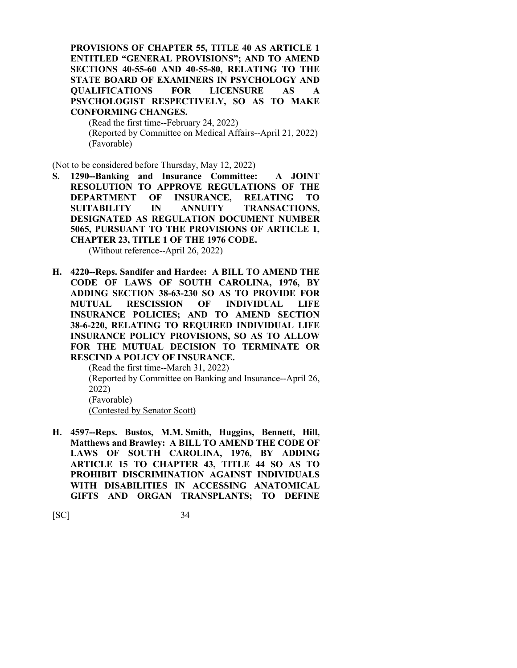**PROVISIONS OF CHAPTER 55, TITLE 40 AS ARTICLE 1 ENTITLED "GENERAL PROVISIONS"; AND TO AMEND SECTIONS 40-55-60 AND 40-55-80, RELATING TO THE STATE BOARD OF EXAMINERS IN PSYCHOLOGY AND QUALIFICATIONS FOR LICENSURE AS A PSYCHOLOGIST RESPECTIVELY, SO AS TO MAKE CONFORMING CHANGES.**

(Read the first time--February 24, 2022) (Reported by Committee on Medical Affairs--April 21, 2022) (Favorable)

(Not to be considered before Thursday, May 12, 2022)

**S. 1290--Banking and Insurance Committee: A JOINT RESOLUTION TO APPROVE REGULATIONS OF THE DEPARTMENT OF INSURANCE, RELATING TO SUITABILITY IN ANNUITY TRANSACTIONS, DESIGNATED AS REGULATION DOCUMENT NUMBER 5065, PURSUANT TO THE PROVISIONS OF ARTICLE 1, CHAPTER 23, TITLE 1 OF THE 1976 CODE.**

(Without reference--April 26, 2022)

**H. 4220--Reps. Sandifer and Hardee: A BILL TO AMEND THE CODE OF LAWS OF SOUTH CAROLINA, 1976, BY ADDING SECTION 38-63-230 SO AS TO PROVIDE FOR MUTUAL RESCISSION OF INDIVIDUAL LIFE INSURANCE POLICIES; AND TO AMEND SECTION 38-6-220, RELATING TO REQUIRED INDIVIDUAL LIFE INSURANCE POLICY PROVISIONS, SO AS TO ALLOW FOR THE MUTUAL DECISION TO TERMINATE OR RESCIND A POLICY OF INSURANCE.**

(Read the first time--March 31, 2022) (Reported by Committee on Banking and Insurance--April 26, 2022) (Favorable) (Contested by Senator Scott)

**H. 4597--Reps. Bustos, M.M. Smith, Huggins, Bennett, Hill, Matthews and Brawley: A BILL TO AMEND THE CODE OF LAWS OF SOUTH CAROLINA, 1976, BY ADDING ARTICLE 15 TO CHAPTER 43, TITLE 44 SO AS TO PROHIBIT DISCRIMINATION AGAINST INDIVIDUALS WITH DISABILITIES IN ACCESSING ANATOMICAL GIFTS AND ORGAN TRANSPLANTS; TO DEFINE**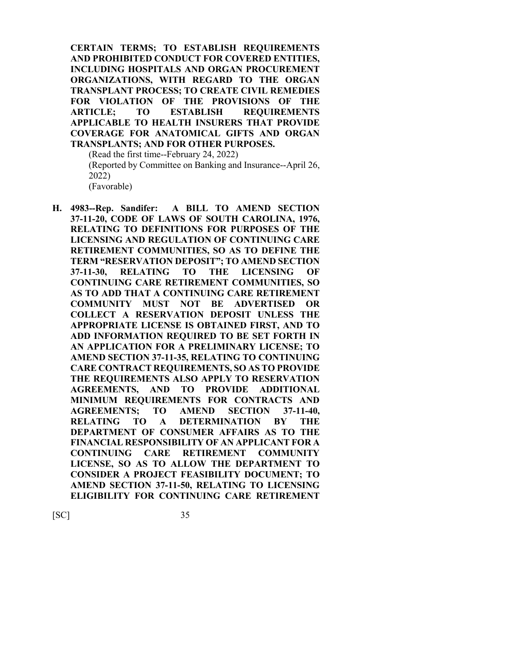**CERTAIN TERMS; TO ESTABLISH REQUIREMENTS AND PROHIBITED CONDUCT FOR COVERED ENTITIES, INCLUDING HOSPITALS AND ORGAN PROCUREMENT ORGANIZATIONS, WITH REGARD TO THE ORGAN TRANSPLANT PROCESS; TO CREATE CIVIL REMEDIES FOR VIOLATION OF THE PROVISIONS OF THE ARTICLE; TO ESTABLISH REQUIREMENTS APPLICABLE TO HEALTH INSURERS THAT PROVIDE COVERAGE FOR ANATOMICAL GIFTS AND ORGAN TRANSPLANTS; AND FOR OTHER PURPOSES.**

(Read the first time--February 24, 2022) (Reported by Committee on Banking and Insurance--April 26, 2022) (Favorable)

**H. 4983--Rep. Sandifer: A BILL TO AMEND SECTION 37-11-20, CODE OF LAWS OF SOUTH CAROLINA, 1976, RELATING TO DEFINITIONS FOR PURPOSES OF THE LICENSING AND REGULATION OF CONTINUING CARE RETIREMENT COMMUNITIES, SO AS TO DEFINE THE TERM "RESERVATION DEPOSIT"; TO AMEND SECTION 37-11-30, RELATING TO THE LICENSING OF CONTINUING CARE RETIREMENT COMMUNITIES, SO AS TO ADD THAT A CONTINUING CARE RETIREMENT COMMUNITY MUST NOT BE ADVERTISED OR COLLECT A RESERVATION DEPOSIT UNLESS THE APPROPRIATE LICENSE IS OBTAINED FIRST, AND TO ADD INFORMATION REQUIRED TO BE SET FORTH IN AN APPLICATION FOR A PRELIMINARY LICENSE; TO AMEND SECTION 37-11-35, RELATING TO CONTINUING CARE CONTRACT REQUIREMENTS, SO AS TO PROVIDE THE REQUIREMENTS ALSO APPLY TO RESERVATION AGREEMENTS, AND TO PROVIDE ADDITIONAL MINIMUM REQUIREMENTS FOR CONTRACTS AND AGREEMENTS; TO AMEND SECTION 37-11-40, RELATING TO A DETERMINATION BY THE DEPARTMENT OF CONSUMER AFFAIRS AS TO THE FINANCIAL RESPONSIBILITY OF AN APPLICANT FOR A CONTINUING CARE RETIREMENT COMMUNITY LICENSE, SO AS TO ALLOW THE DEPARTMENT TO CONSIDER A PROJECT FEASIBILITY DOCUMENT; TO AMEND SECTION 37-11-50, RELATING TO LICENSING ELIGIBILITY FOR CONTINUING CARE RETIREMENT**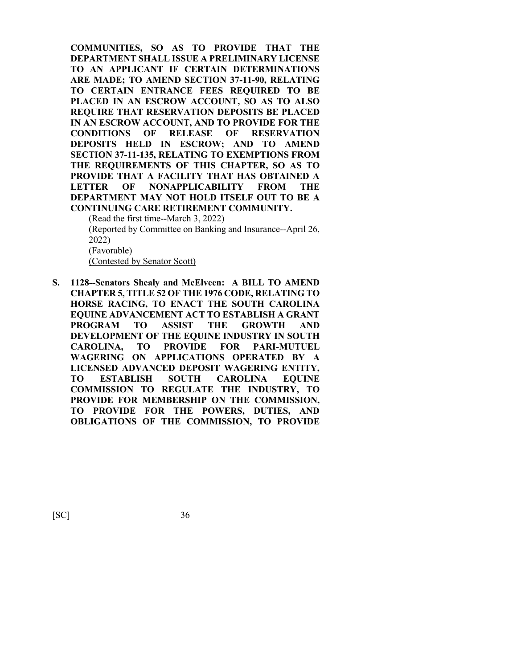**COMMUNITIES, SO AS TO PROVIDE THAT THE DEPARTMENT SHALL ISSUE A PRELIMINARY LICENSE TO AN APPLICANT IF CERTAIN DETERMINATIONS ARE MADE; TO AMEND SECTION 37-11-90, RELATING TO CERTAIN ENTRANCE FEES REQUIRED TO BE PLACED IN AN ESCROW ACCOUNT, SO AS TO ALSO REQUIRE THAT RESERVATION DEPOSITS BE PLACED IN AN ESCROW ACCOUNT, AND TO PROVIDE FOR THE CONDITIONS OF RELEASE OF RESERVATION DEPOSITS HELD IN ESCROW; AND TO AMEND SECTION 37-11-135, RELATING TO EXEMPTIONS FROM THE REQUIREMENTS OF THIS CHAPTER, SO AS TO PROVIDE THAT A FACILITY THAT HAS OBTAINED A LETTER OF NONAPPLICABILITY FROM THE DEPARTMENT MAY NOT HOLD ITSELF OUT TO BE A CONTINUING CARE RETIREMENT COMMUNITY.**

(Read the first time--March 3, 2022)

(Reported by Committee on Banking and Insurance--April 26, 2022)

(Favorable)

(Contested by Senator Scott)

**S. 1128--Senators Shealy and McElveen: A BILL TO AMEND CHAPTER 5, TITLE 52 OF THE 1976 CODE, RELATING TO HORSE RACING, TO ENACT THE SOUTH CAROLINA EQUINE ADVANCEMENT ACT TO ESTABLISH A GRANT PROGRAM TO ASSIST THE GROWTH AND DEVELOPMENT OF THE EQUINE INDUSTRY IN SOUTH CAROLINA, TO PROVIDE FOR PARI-MUTUEL WAGERING ON APPLICATIONS OPERATED BY A LICENSED ADVANCED DEPOSIT WAGERING ENTITY, TO ESTABLISH SOUTH CAROLINA EQUINE COMMISSION TO REGULATE THE INDUSTRY, TO PROVIDE FOR MEMBERSHIP ON THE COMMISSION, TO PROVIDE FOR THE POWERS, DUTIES, AND OBLIGATIONS OF THE COMMISSION, TO PROVIDE**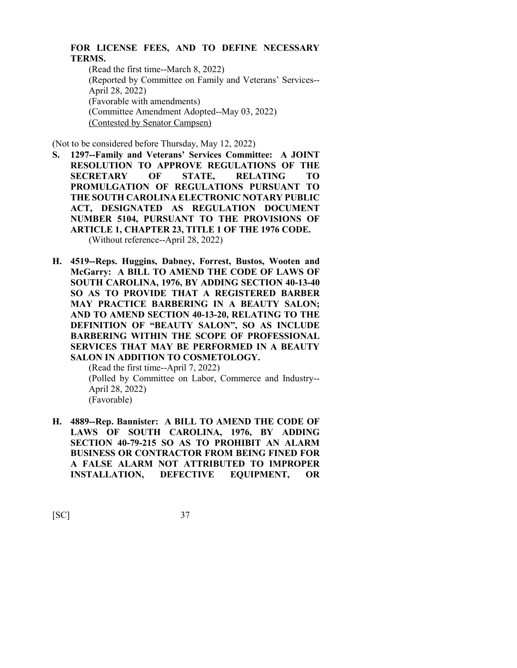## **FOR LICENSE FEES, AND TO DEFINE NECESSARY TERMS.**

(Read the first time--March 8, 2022) (Reported by Committee on Family and Veterans' Services-- April 28, 2022) (Favorable with amendments) (Committee Amendment Adopted--May 03, 2022) (Contested by Senator Campsen)

(Not to be considered before Thursday, May 12, 2022)

- **S. 1297--Family and Veterans' Services Committee: A JOINT RESOLUTION TO APPROVE REGULATIONS OF THE SECRETARY OF STATE, RELATING TO PROMULGATION OF REGULATIONS PURSUANT TO THE SOUTH CAROLINA ELECTRONIC NOTARY PUBLIC ACT, DESIGNATED AS REGULATION DOCUMENT NUMBER 5104, PURSUANT TO THE PROVISIONS OF ARTICLE 1, CHAPTER 23, TITLE 1 OF THE 1976 CODE.** (Without reference--April 28, 2022)
- **H. 4519--Reps. Huggins, Dabney, Forrest, Bustos, Wooten and McGarry: A BILL TO AMEND THE CODE OF LAWS OF SOUTH CAROLINA, 1976, BY ADDING SECTION 40-13-40 SO AS TO PROVIDE THAT A REGISTERED BARBER MAY PRACTICE BARBERING IN A BEAUTY SALON; AND TO AMEND SECTION 40-13-20, RELATING TO THE DEFINITION OF "BEAUTY SALON", SO AS INCLUDE BARBERING WITHIN THE SCOPE OF PROFESSIONAL SERVICES THAT MAY BE PERFORMED IN A BEAUTY SALON IN ADDITION TO COSMETOLOGY.**

(Read the first time--April 7, 2022) (Polled by Committee on Labor, Commerce and Industry-- April 28, 2022) (Favorable)

**H. 4889--Rep. Bannister: A BILL TO AMEND THE CODE OF LAWS OF SOUTH CAROLINA, 1976, BY ADDING SECTION 40-79-215 SO AS TO PROHIBIT AN ALARM BUSINESS OR CONTRACTOR FROM BEING FINED FOR A FALSE ALARM NOT ATTRIBUTED TO IMPROPER INSTALLATION, DEFECTIVE EQUIPMENT, OR**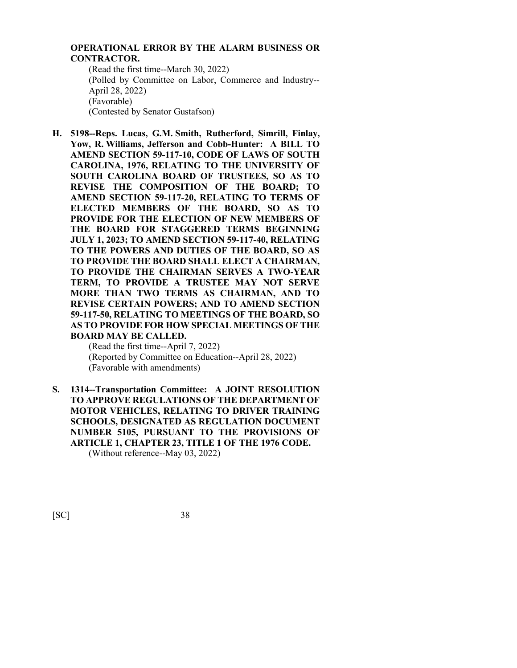## **OPERATIONAL ERROR BY THE ALARM BUSINESS OR CONTRACTOR.**

(Read the first time--March 30, 2022) (Polled by Committee on Labor, Commerce and Industry-- April 28, 2022) (Favorable) (Contested by Senator Gustafson)

**H. 5198--Reps. Lucas, G.M. Smith, Rutherford, Simrill, Finlay, Yow, R. Williams, Jefferson and Cobb-Hunter: A BILL TO AMEND SECTION 59-117-10, CODE OF LAWS OF SOUTH CAROLINA, 1976, RELATING TO THE UNIVERSITY OF SOUTH CAROLINA BOARD OF TRUSTEES, SO AS TO REVISE THE COMPOSITION OF THE BOARD; TO AMEND SECTION 59-117-20, RELATING TO TERMS OF ELECTED MEMBERS OF THE BOARD, SO AS TO PROVIDE FOR THE ELECTION OF NEW MEMBERS OF THE BOARD FOR STAGGERED TERMS BEGINNING JULY 1, 2023; TO AMEND SECTION 59-117-40, RELATING TO THE POWERS AND DUTIES OF THE BOARD, SO AS TO PROVIDE THE BOARD SHALL ELECT A CHAIRMAN, TO PROVIDE THE CHAIRMAN SERVES A TWO-YEAR TERM, TO PROVIDE A TRUSTEE MAY NOT SERVE MORE THAN TWO TERMS AS CHAIRMAN, AND TO REVISE CERTAIN POWERS; AND TO AMEND SECTION 59-117-50, RELATING TO MEETINGS OF THE BOARD, SO AS TO PROVIDE FOR HOW SPECIAL MEETINGS OF THE BOARD MAY BE CALLED.**

(Read the first time--April 7, 2022) (Reported by Committee on Education--April 28, 2022) (Favorable with amendments)

**S. 1314--Transportation Committee: A JOINT RESOLUTION TO APPROVE REGULATIONS OF THE DEPARTMENT OF MOTOR VEHICLES, RELATING TO DRIVER TRAINING SCHOOLS, DESIGNATED AS REGULATION DOCUMENT NUMBER 5105, PURSUANT TO THE PROVISIONS OF ARTICLE 1, CHAPTER 23, TITLE 1 OF THE 1976 CODE.** (Without reference--May 03, 2022)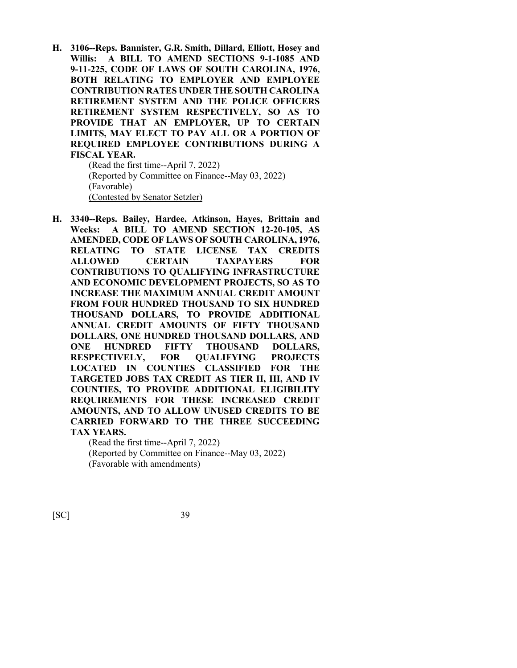**H. 3106--Reps. Bannister, G.R. Smith, Dillard, Elliott, Hosey and Willis: A BILL TO AMEND SECTIONS 9-1-1085 AND 9-11-225, CODE OF LAWS OF SOUTH CAROLINA, 1976, BOTH RELATING TO EMPLOYER AND EMPLOYEE CONTRIBUTION RATES UNDER THE SOUTH CAROLINA RETIREMENT SYSTEM AND THE POLICE OFFICERS RETIREMENT SYSTEM RESPECTIVELY, SO AS TO PROVIDE THAT AN EMPLOYER, UP TO CERTAIN LIMITS, MAY ELECT TO PAY ALL OR A PORTION OF REQUIRED EMPLOYEE CONTRIBUTIONS DURING A FISCAL YEAR.**

> (Read the first time--April 7, 2022) (Reported by Committee on Finance--May 03, 2022) (Favorable) (Contested by Senator Setzler)

**H. 3340--Reps. Bailey, Hardee, Atkinson, Hayes, Brittain and Weeks: A BILL TO AMEND SECTION 12-20-105, AS AMENDED, CODE OF LAWS OF SOUTH CAROLINA, 1976, RELATING TO STATE LICENSE TAX CREDITS ALLOWED CERTAIN TAXPAYERS FOR CONTRIBUTIONS TO QUALIFYING INFRASTRUCTURE AND ECONOMIC DEVELOPMENT PROJECTS, SO AS TO INCREASE THE MAXIMUM ANNUAL CREDIT AMOUNT FROM FOUR HUNDRED THOUSAND TO SIX HUNDRED THOUSAND DOLLARS, TO PROVIDE ADDITIONAL ANNUAL CREDIT AMOUNTS OF FIFTY THOUSAND DOLLARS, ONE HUNDRED THOUSAND DOLLARS, AND ONE HUNDRED FIFTY THOUSAND DOLLARS, RESPECTIVELY, FOR QUALIFYING PROJECTS LOCATED IN COUNTIES CLASSIFIED FOR THE TARGETED JOBS TAX CREDIT AS TIER II, III, AND IV COUNTIES, TO PROVIDE ADDITIONAL ELIGIBILITY REQUIREMENTS FOR THESE INCREASED CREDIT AMOUNTS, AND TO ALLOW UNUSED CREDITS TO BE CARRIED FORWARD TO THE THREE SUCCEEDING TAX YEARS.**

(Read the first time--April 7, 2022) (Reported by Committee on Finance--May 03, 2022) (Favorable with amendments)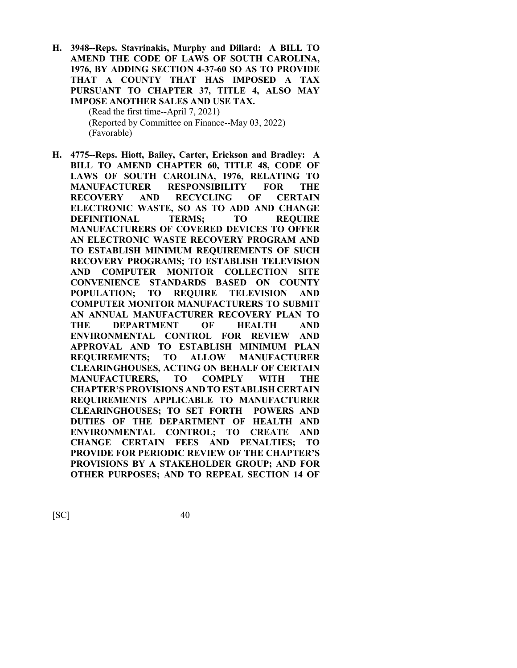**H. 3948--Reps. Stavrinakis, Murphy and Dillard: A BILL TO AMEND THE CODE OF LAWS OF SOUTH CAROLINA, 1976, BY ADDING SECTION 4-37-60 SO AS TO PROVIDE THAT A COUNTY THAT HAS IMPOSED A TAX PURSUANT TO CHAPTER 37, TITLE 4, ALSO MAY IMPOSE ANOTHER SALES AND USE TAX.** (Read the first time--April 7, 2021) (Reported by Committee on Finance--May 03, 2022)

(Favorable)

**H. 4775--Reps. Hiott, Bailey, Carter, Erickson and Bradley: A BILL TO AMEND CHAPTER 60, TITLE 48, CODE OF LAWS OF SOUTH CAROLINA, 1976, RELATING TO MANUFACTURER RESPONSIBILITY FOR THE RECOVERY AND RECYCLING OF CERTAIN ELECTRONIC WASTE, SO AS TO ADD AND CHANGE DEFINITIONAL TERMS; TO REQUIRE MANUFACTURERS OF COVERED DEVICES TO OFFER AN ELECTRONIC WASTE RECOVERY PROGRAM AND TO ESTABLISH MINIMUM REQUIREMENTS OF SUCH RECOVERY PROGRAMS; TO ESTABLISH TELEVISION AND COMPUTER MONITOR COLLECTION SITE CONVENIENCE STANDARDS BASED ON COUNTY POPULATION; TO REQUIRE TELEVISION AND COMPUTER MONITOR MANUFACTURERS TO SUBMIT AN ANNUAL MANUFACTURER RECOVERY PLAN TO THE DEPARTMENT OF HEALTH AND ENVIRONMENTAL CONTROL FOR REVIEW AND APPROVAL AND TO ESTABLISH MINIMUM PLAN REQUIREMENTS; TO ALLOW MANUFACTURER CLEARINGHOUSES, ACTING ON BEHALF OF CERTAIN MANUFACTURERS, TO COMPLY WITH THE CHAPTER'S PROVISIONS AND TO ESTABLISH CERTAIN REQUIREMENTS APPLICABLE TO MANUFACTURER CLEARINGHOUSES; TO SET FORTH POWERS AND DUTIES OF THE DEPARTMENT OF HEALTH AND ENVIRONMENTAL CONTROL; TO CREATE AND CHANGE CERTAIN FEES AND PENALTIES; TO PROVIDE FOR PERIODIC REVIEW OF THE CHAPTER'S PROVISIONS BY A STAKEHOLDER GROUP; AND FOR OTHER PURPOSES; AND TO REPEAL SECTION 14 OF**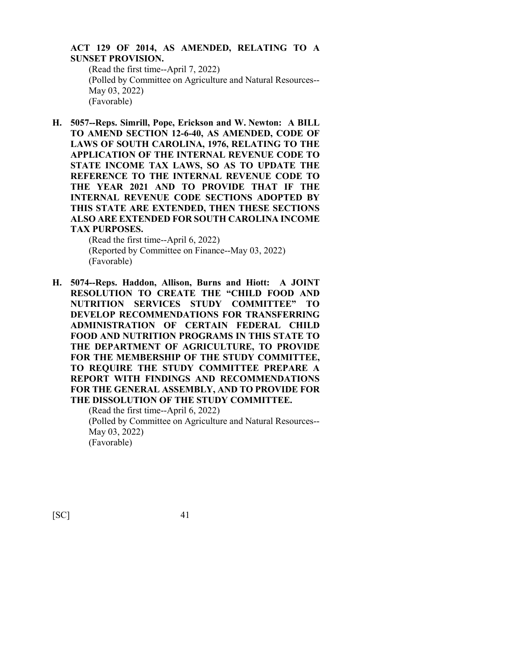#### **ACT 129 OF 2014, AS AMENDED, RELATING TO A SUNSET PROVISION.**

(Read the first time--April 7, 2022) (Polled by Committee on Agriculture and Natural Resources-- May 03, 2022) (Favorable)

**H. 5057--Reps. Simrill, Pope, Erickson and W. Newton: A BILL TO AMEND SECTION 12-6-40, AS AMENDED, CODE OF LAWS OF SOUTH CAROLINA, 1976, RELATING TO THE APPLICATION OF THE INTERNAL REVENUE CODE TO STATE INCOME TAX LAWS, SO AS TO UPDATE THE REFERENCE TO THE INTERNAL REVENUE CODE TO THE YEAR 2021 AND TO PROVIDE THAT IF THE INTERNAL REVENUE CODE SECTIONS ADOPTED BY THIS STATE ARE EXTENDED, THEN THESE SECTIONS ALSO ARE EXTENDED FOR SOUTH CAROLINA INCOME TAX PURPOSES.**

> (Read the first time--April 6, 2022) (Reported by Committee on Finance--May 03, 2022) (Favorable)

**H. 5074--Reps. Haddon, Allison, Burns and Hiott: A JOINT RESOLUTION TO CREATE THE "CHILD FOOD AND NUTRITION SERVICES STUDY COMMITTEE" TO DEVELOP RECOMMENDATIONS FOR TRANSFERRING ADMINISTRATION OF CERTAIN FEDERAL CHILD FOOD AND NUTRITION PROGRAMS IN THIS STATE TO THE DEPARTMENT OF AGRICULTURE, TO PROVIDE FOR THE MEMBERSHIP OF THE STUDY COMMITTEE, TO REQUIRE THE STUDY COMMITTEE PREPARE A REPORT WITH FINDINGS AND RECOMMENDATIONS FOR THE GENERAL ASSEMBLY, AND TO PROVIDE FOR THE DISSOLUTION OF THE STUDY COMMITTEE.**

(Read the first time--April 6, 2022) (Polled by Committee on Agriculture and Natural Resources-- May 03, 2022) (Favorable)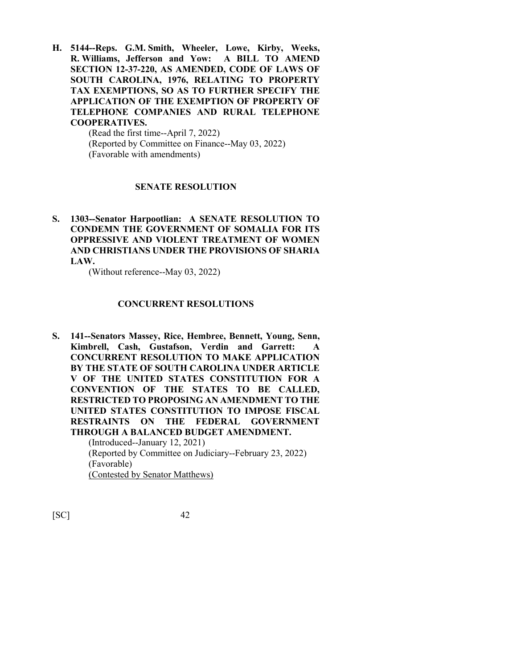**H. 5144--Reps. G.M. Smith, Wheeler, Lowe, Kirby, Weeks, R. Williams, Jefferson and Yow: A BILL TO AMEND SECTION 12-37-220, AS AMENDED, CODE OF LAWS OF SOUTH CAROLINA, 1976, RELATING TO PROPERTY TAX EXEMPTIONS, SO AS TO FURTHER SPECIFY THE APPLICATION OF THE EXEMPTION OF PROPERTY OF TELEPHONE COMPANIES AND RURAL TELEPHONE COOPERATIVES.**

> (Read the first time--April 7, 2022) (Reported by Committee on Finance--May 03, 2022) (Favorable with amendments)

#### **SENATE RESOLUTION**

**S. 1303--Senator Harpootlian: A SENATE RESOLUTION TO CONDEMN THE GOVERNMENT OF SOMALIA FOR ITS OPPRESSIVE AND VIOLENT TREATMENT OF WOMEN AND CHRISTIANS UNDER THE PROVISIONS OF SHARIA LAW.**

(Without reference--May 03, 2022)

#### **CONCURRENT RESOLUTIONS**

**S. 141--Senators Massey, Rice, Hembree, Bennett, Young, Senn, Kimbrell, Cash, Gustafson, Verdin and Garrett: A CONCURRENT RESOLUTION TO MAKE APPLICATION BY THE STATE OF SOUTH CAROLINA UNDER ARTICLE V OF THE UNITED STATES CONSTITUTION FOR A CONVENTION OF THE STATES TO BE CALLED, RESTRICTED TO PROPOSING AN AMENDMENT TO THE UNITED STATES CONSTITUTION TO IMPOSE FISCAL RESTRAINTS ON THE FEDERAL GOVERNMENT THROUGH A BALANCED BUDGET AMENDMENT.** (Introduced--January 12, 2021)

(Reported by Committee on Judiciary--February 23, 2022) (Favorable) (Contested by Senator Matthews)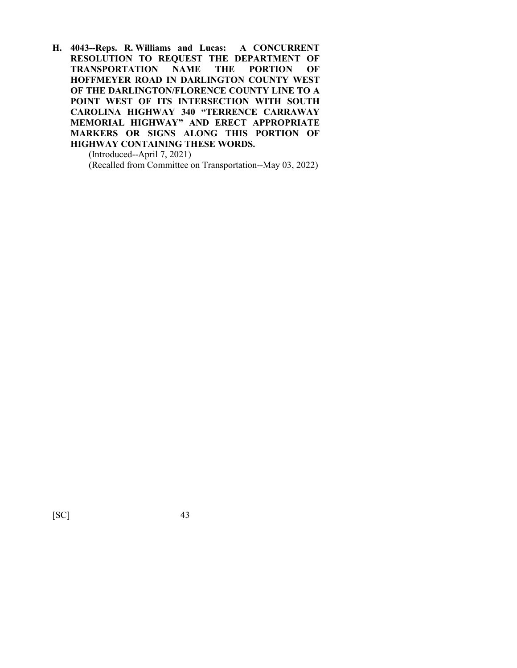**H. 4043--Reps. R. Williams and Lucas: A CONCURRENT RESOLUTION TO REQUEST THE DEPARTMENT OF TRANSPORTATION NAME THE PORTION OF HOFFMEYER ROAD IN DARLINGTON COUNTY WEST OF THE DARLINGTON/FLORENCE COUNTY LINE TO A POINT WEST OF ITS INTERSECTION WITH SOUTH CAROLINA HIGHWAY 340 "TERRENCE CARRAWAY MEMORIAL HIGHWAY" AND ERECT APPROPRIATE MARKERS OR SIGNS ALONG THIS PORTION OF HIGHWAY CONTAINING THESE WORDS.**

(Introduced--April 7, 2021) (Recalled from Committee on Transportation--May 03, 2022)